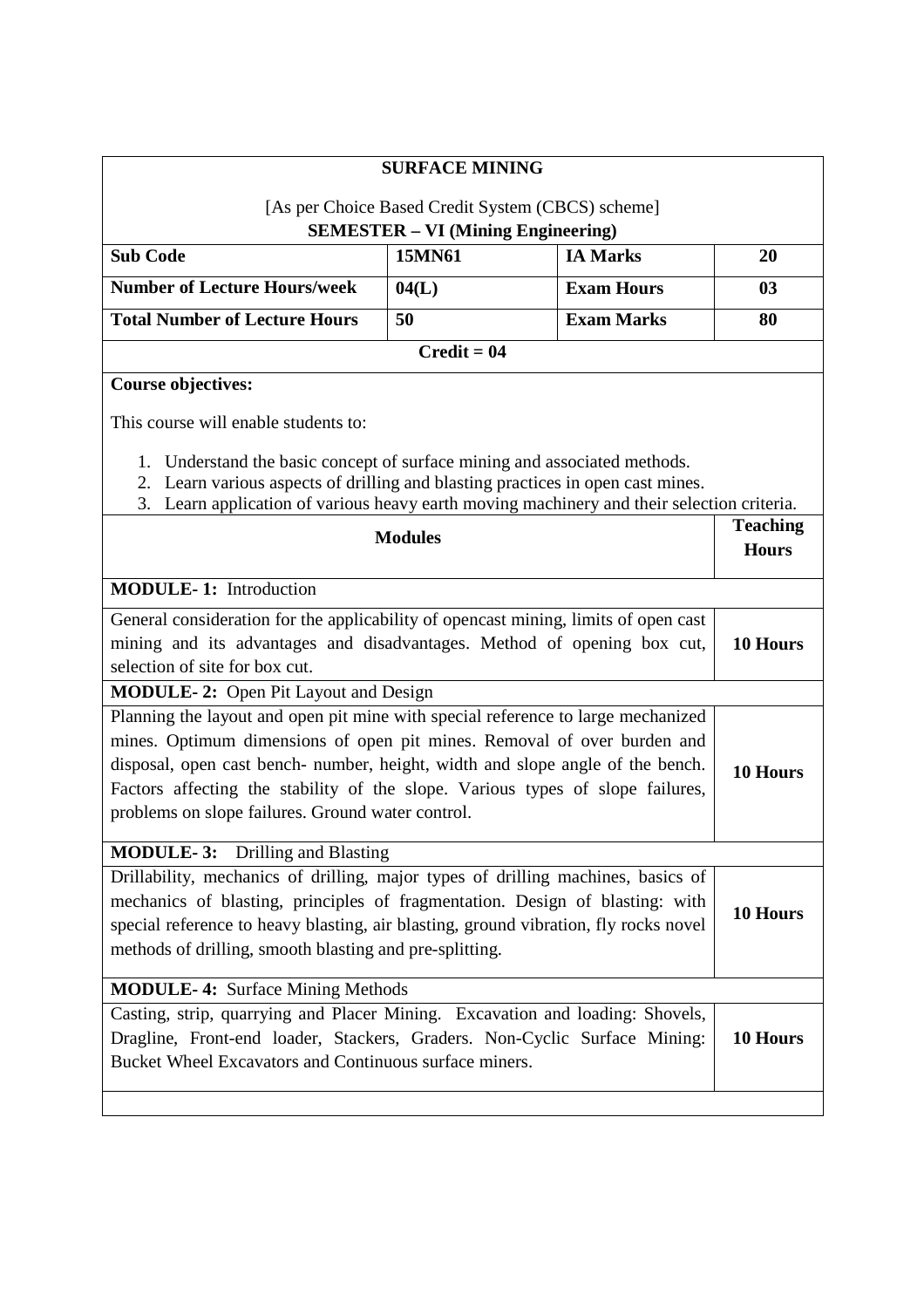|                                                                                                                                                                | <b>SURFACE MINING</b>                                                                             |                                                   |                 |
|----------------------------------------------------------------------------------------------------------------------------------------------------------------|---------------------------------------------------------------------------------------------------|---------------------------------------------------|-----------------|
|                                                                                                                                                                |                                                                                                   | [As per Choice Based Credit System (CBCS) scheme] |                 |
|                                                                                                                                                                |                                                                                                   | <b>SEMESTER - VI (Mining Engineering)</b>         |                 |
| <b>Sub Code</b>                                                                                                                                                | 15MN61                                                                                            | <b>IA Marks</b>                                   | 20              |
| <b>Number of Lecture Hours/week</b>                                                                                                                            | 04(L)                                                                                             | <b>Exam Hours</b>                                 | 03              |
| <b>Total Number of Lecture Hours</b>                                                                                                                           | 50                                                                                                | <b>Exam Marks</b>                                 | 80              |
|                                                                                                                                                                | $Credit = 04$                                                                                     |                                                   |                 |
| <b>Course objectives:</b>                                                                                                                                      |                                                                                                   |                                                   |                 |
| This course will enable students to:                                                                                                                           |                                                                                                   |                                                   |                 |
| 1. Understand the basic concept of surface mining and associated methods.<br>2. Learn various aspects of drilling and blasting practices in open cast mines.   |                                                                                                   |                                                   |                 |
| 3. Learn application of various heavy earth moving machinery and their selection criteria.                                                                     |                                                                                                   |                                                   | <b>Teaching</b> |
| <b>Modules</b>                                                                                                                                                 |                                                                                                   | <b>Hours</b>                                      |                 |
| <b>MODULE-1:</b> Introduction                                                                                                                                  |                                                                                                   |                                                   |                 |
|                                                                                                                                                                |                                                                                                   |                                                   |                 |
| General consideration for the applicability of opencast mining, limits of open cast<br>mining and its advantages and disadvantages. Method of opening box cut, |                                                                                                   |                                                   | 10 Hours        |
| selection of site for box cut.                                                                                                                                 |                                                                                                   |                                                   |                 |
| <b>MODULE-2:</b> Open Pit Layout and Design                                                                                                                    |                                                                                                   |                                                   |                 |
| Planning the layout and open pit mine with special reference to large mechanized                                                                               |                                                                                                   |                                                   |                 |
| mines. Optimum dimensions of open pit mines. Removal of over burden and                                                                                        |                                                                                                   |                                                   |                 |
|                                                                                                                                                                | disposal, open cast bench- number, height, width and slope angle of the bench.<br><b>10 Hours</b> |                                                   |                 |
| Factors affecting the stability of the slope. Various types of slope failures,                                                                                 |                                                                                                   |                                                   |                 |
| problems on slope failures. Ground water control.                                                                                                              |                                                                                                   |                                                   |                 |
| <b>MODULE-3:</b> Drilling and Blasting                                                                                                                         |                                                                                                   |                                                   |                 |
| Drillability, mechanics of drilling, major types of drilling machines, basics of                                                                               |                                                                                                   |                                                   |                 |
| mechanics of blasting, principles of fragmentation. Design of blasting: with                                                                                   |                                                                                                   |                                                   | 10 Hours        |
| special reference to heavy blasting, air blasting, ground vibration, fly rocks novel                                                                           |                                                                                                   |                                                   |                 |
| methods of drilling, smooth blasting and pre-splitting.                                                                                                        |                                                                                                   |                                                   |                 |
| <b>MODULE-4: Surface Mining Methods</b>                                                                                                                        |                                                                                                   |                                                   |                 |
| Casting, strip, quarrying and Placer Mining. Excavation and loading: Shovels,                                                                                  |                                                                                                   |                                                   |                 |
| Dragline, Front-end loader, Stackers, Graders. Non-Cyclic Surface Mining:                                                                                      |                                                                                                   |                                                   | 10 Hours        |
| Bucket Wheel Excavators and Continuous surface miners.                                                                                                         |                                                                                                   |                                                   |                 |
|                                                                                                                                                                |                                                                                                   |                                                   |                 |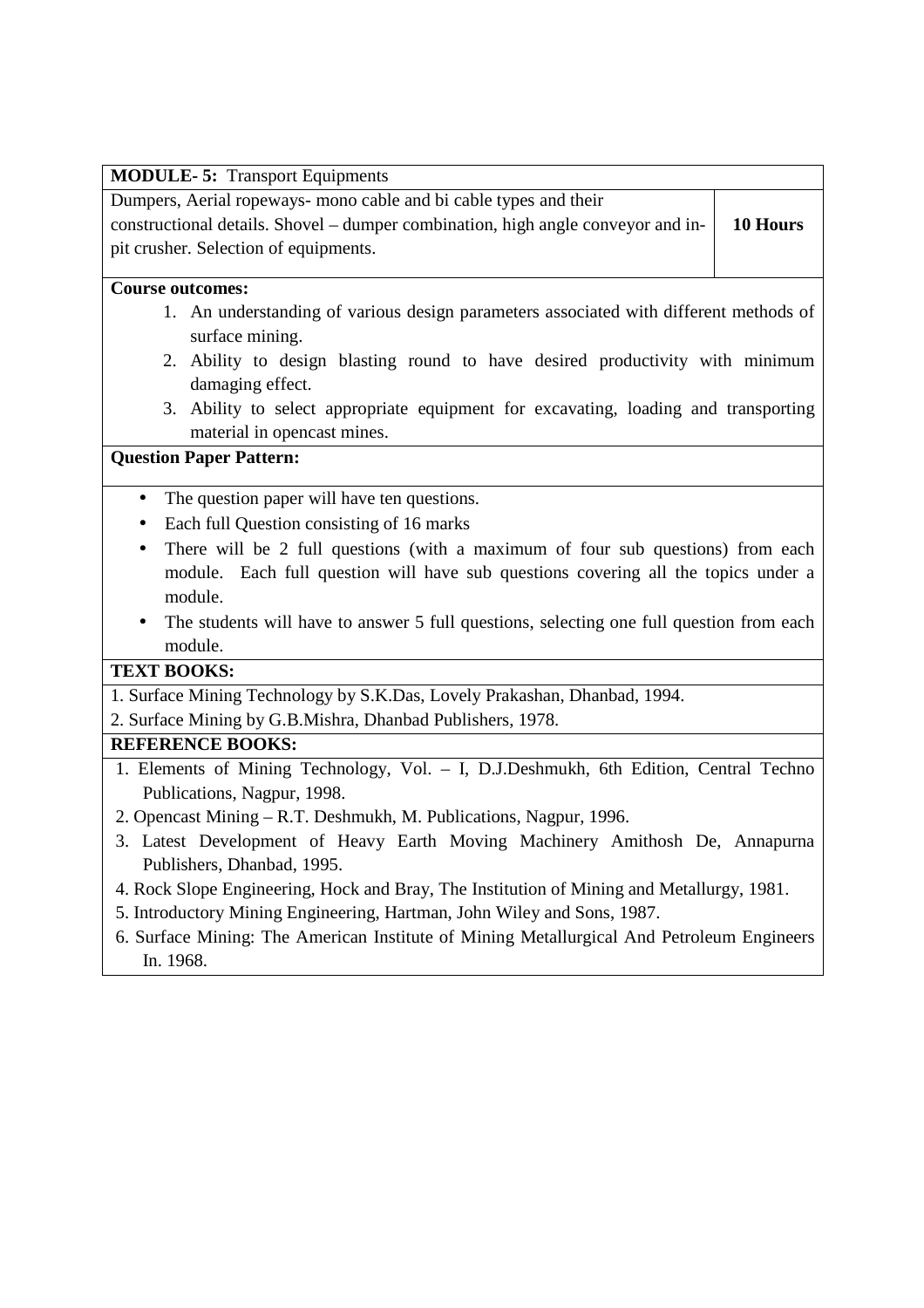#### **MODULE- 5:** Transport Equipments

Dumpers, Aerial ropeways- mono cable and bi cable types and their

constructional details. Shovel – dumper combination, high angle conveyor and inpit crusher. Selection of equipments. **10 Hours** 

#### **Course outcomes:**

- 1. An understanding of various design parameters associated with different methods of surface mining.
- 2. Ability to design blasting round to have desired productivity with minimum damaging effect.
- 3. Ability to select appropriate equipment for excavating, loading and transporting material in opencast mines.

# **Question Paper Pattern:**

- The question paper will have ten questions.
- Each full Question consisting of 16 marks
- There will be 2 full questions (with a maximum of four sub questions) from each module. Each full question will have sub questions covering all the topics under a module.
- The students will have to answer 5 full questions, selecting one full question from each module.

# **TEXT BOOKS:**

1. Surface Mining Technology by S.K.Das, Lovely Prakashan, Dhanbad, 1994.

2. Surface Mining by G.B.Mishra, Dhanbad Publishers, 1978.

# **REFERENCE BOOKS:**

- 1. Elements of Mining Technology, Vol. I, D.J.Deshmukh, 6th Edition, Central Techno Publications, Nagpur, 1998.
- 2. Opencast Mining R.T. Deshmukh, M. Publications, Nagpur, 1996.
- 3. Latest Development of Heavy Earth Moving Machinery Amithosh De, Annapurna Publishers, Dhanbad, 1995.
- 4. Rock Slope Engineering, Hock and Bray, The Institution of Mining and Metallurgy, 1981.
- 5. Introductory Mining Engineering, Hartman, John Wiley and Sons, 1987.
- 6. Surface Mining: The American Institute of Mining Metallurgical And Petroleum Engineers In. 1968.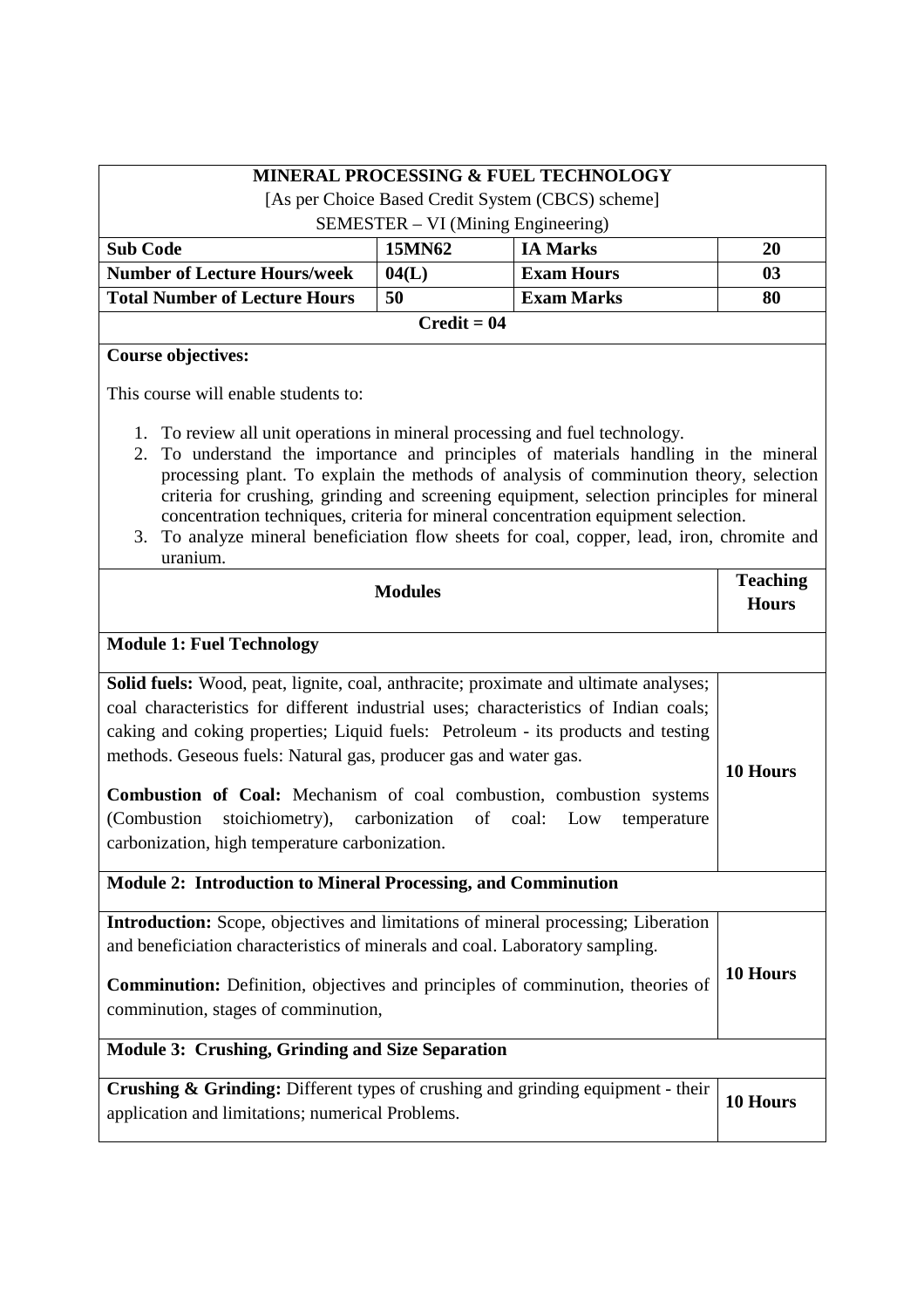| <b>MINERAL PROCESSING &amp; FUEL TECHNOLOGY</b>                                                                                                                                                                                                                                                                                                                                                                                                                                                                                                                 |        |                   |    |  |
|-----------------------------------------------------------------------------------------------------------------------------------------------------------------------------------------------------------------------------------------------------------------------------------------------------------------------------------------------------------------------------------------------------------------------------------------------------------------------------------------------------------------------------------------------------------------|--------|-------------------|----|--|
| [As per Choice Based Credit System (CBCS) scheme]                                                                                                                                                                                                                                                                                                                                                                                                                                                                                                               |        |                   |    |  |
| SEMESTER – VI (Mining Engineering)                                                                                                                                                                                                                                                                                                                                                                                                                                                                                                                              |        |                   |    |  |
| <b>Sub Code</b>                                                                                                                                                                                                                                                                                                                                                                                                                                                                                                                                                 | 15MN62 | <b>IA Marks</b>   | 20 |  |
| <b>Number of Lecture Hours/week</b>                                                                                                                                                                                                                                                                                                                                                                                                                                                                                                                             | 04(L)  | <b>Exam Hours</b> | 03 |  |
| <b>Total Number of Lecture Hours</b>                                                                                                                                                                                                                                                                                                                                                                                                                                                                                                                            | 50     | <b>Exam Marks</b> | 80 |  |
| $Credit = 04$                                                                                                                                                                                                                                                                                                                                                                                                                                                                                                                                                   |        |                   |    |  |
| <b>Course objectives:</b>                                                                                                                                                                                                                                                                                                                                                                                                                                                                                                                                       |        |                   |    |  |
| This course will enable students to:                                                                                                                                                                                                                                                                                                                                                                                                                                                                                                                            |        |                   |    |  |
| 1. To review all unit operations in mineral processing and fuel technology.<br>2. To understand the importance and principles of materials handling in the mineral<br>processing plant. To explain the methods of analysis of comminution theory, selection<br>criteria for crushing, grinding and screening equipment, selection principles for mineral<br>concentration techniques, criteria for mineral concentration equipment selection.<br>3. To analyze mineral beneficiation flow sheets for coal, copper, lead, iron, chromite and<br>$l$ urani $l$ um |        |                   |    |  |

3. To analyze mineral beneficiation flow sheets for coal, copper, lead, iron, chromite and uranium.

| <b>Modules</b>                                                                                                                                                                                                                                                                                                                                                                                                                                                                                                                                            |          |
|-----------------------------------------------------------------------------------------------------------------------------------------------------------------------------------------------------------------------------------------------------------------------------------------------------------------------------------------------------------------------------------------------------------------------------------------------------------------------------------------------------------------------------------------------------------|----------|
| <b>Module 1: Fuel Technology</b>                                                                                                                                                                                                                                                                                                                                                                                                                                                                                                                          |          |
| <b>Solid fuels:</b> Wood, peat, lignite, coal, anthracite; proximate and ultimate analyses;<br>coal characteristics for different industrial uses; characteristics of Indian coals;<br>caking and coking properties; Liquid fuels: Petroleum - its products and testing<br>methods. Geseous fuels: Natural gas, producer gas and water gas.<br><b>Combustion of Coal:</b> Mechanism of coal combustion, combustion systems<br>stoichiometry), carbonization of coal: Low<br>(Combustion)<br>temperature<br>carbonization, high temperature carbonization. | 10 Hours |
| <b>Module 2: Introduction to Mineral Processing, and Comminution</b>                                                                                                                                                                                                                                                                                                                                                                                                                                                                                      |          |
| Introduction: Scope, objectives and limitations of mineral processing; Liberation<br>and beneficiation characteristics of minerals and coal. Laboratory sampling.<br>Comminution: Definition, objectives and principles of comminution, theories of<br>comminution, stages of comminution,                                                                                                                                                                                                                                                                |          |
| Module 3: Crushing, Grinding and Size Separation                                                                                                                                                                                                                                                                                                                                                                                                                                                                                                          |          |
| Crushing & Grinding: Different types of crushing and grinding equipment - their<br>application and limitations; numerical Problems.                                                                                                                                                                                                                                                                                                                                                                                                                       | 10 Hours |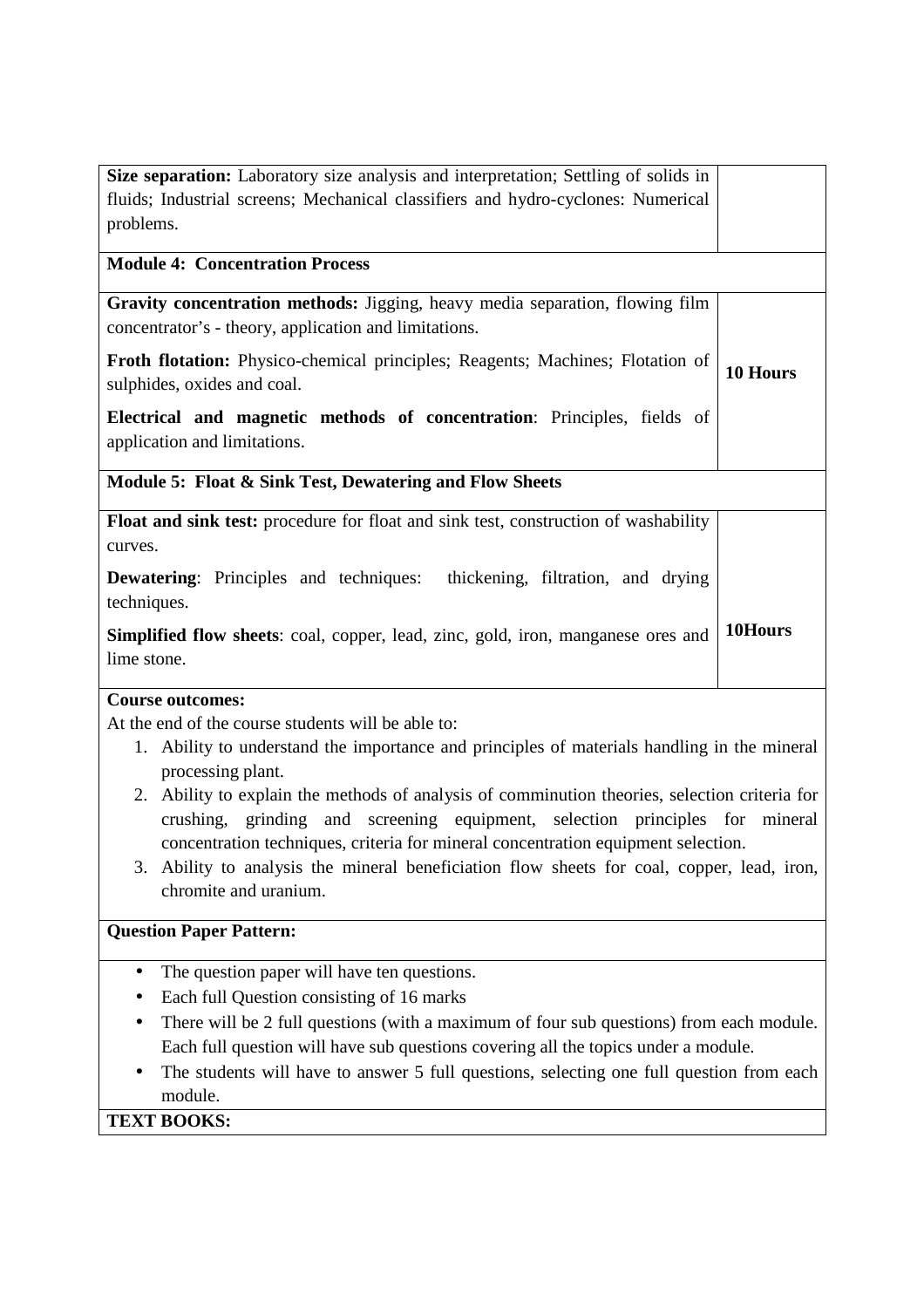| Size separation: Laboratory size analysis and interpretation; Settling of solids in<br>fluids; Industrial screens; Mechanical classifiers and hydro-cyclones: Numerical<br>problems.<br><b>Module 4: Concentration Process</b> |
|--------------------------------------------------------------------------------------------------------------------------------------------------------------------------------------------------------------------------------|
|                                                                                                                                                                                                                                |
|                                                                                                                                                                                                                                |
|                                                                                                                                                                                                                                |
|                                                                                                                                                                                                                                |
| Gravity concentration methods: Jigging, heavy media separation, flowing film                                                                                                                                                   |
| concentrator's - theory, application and limitations.                                                                                                                                                                          |
| <b>Froth flotation:</b> Physico-chemical principles; Reagents; Machines; Flotation of                                                                                                                                          |
| 10 Hours<br>sulphides, oxides and coal.                                                                                                                                                                                        |
| Electrical and magnetic methods of concentration: Principles, fields of                                                                                                                                                        |
| application and limitations.                                                                                                                                                                                                   |
|                                                                                                                                                                                                                                |
| Module 5: Float & Sink Test, Dewatering and Flow Sheets                                                                                                                                                                        |
| <b>Float and sink test:</b> procedure for float and sink test, construction of washability                                                                                                                                     |
| curves.                                                                                                                                                                                                                        |
| <b>Dewatering:</b> Principles and techniques:<br>thickening, filtration, and drying                                                                                                                                            |
| techniques.                                                                                                                                                                                                                    |
| 10Hours<br><b>Simplified flow sheets:</b> coal, copper, lead, zinc, gold, iron, manganese ores and                                                                                                                             |
| lime stone.                                                                                                                                                                                                                    |
|                                                                                                                                                                                                                                |

# **Course outcomes:**

At the end of the course students will be able to:

- 1. Ability to understand the importance and principles of materials handling in the mineral processing plant.
- 2. Ability to explain the methods of analysis of comminution theories, selection criteria for crushing, grinding and screening equipment, selection principles for mineral concentration techniques, criteria for mineral concentration equipment selection.
- 3. Ability to analysis the mineral beneficiation flow sheets for coal, copper, lead, iron, chromite and uranium.

# **Question Paper Pattern:**

- The question paper will have ten questions.
- Each full Question consisting of 16 marks
- There will be 2 full questions (with a maximum of four sub questions) from each module. Each full question will have sub questions covering all the topics under a module.
- The students will have to answer 5 full questions, selecting one full question from each module.

# **TEXT BOOKS:**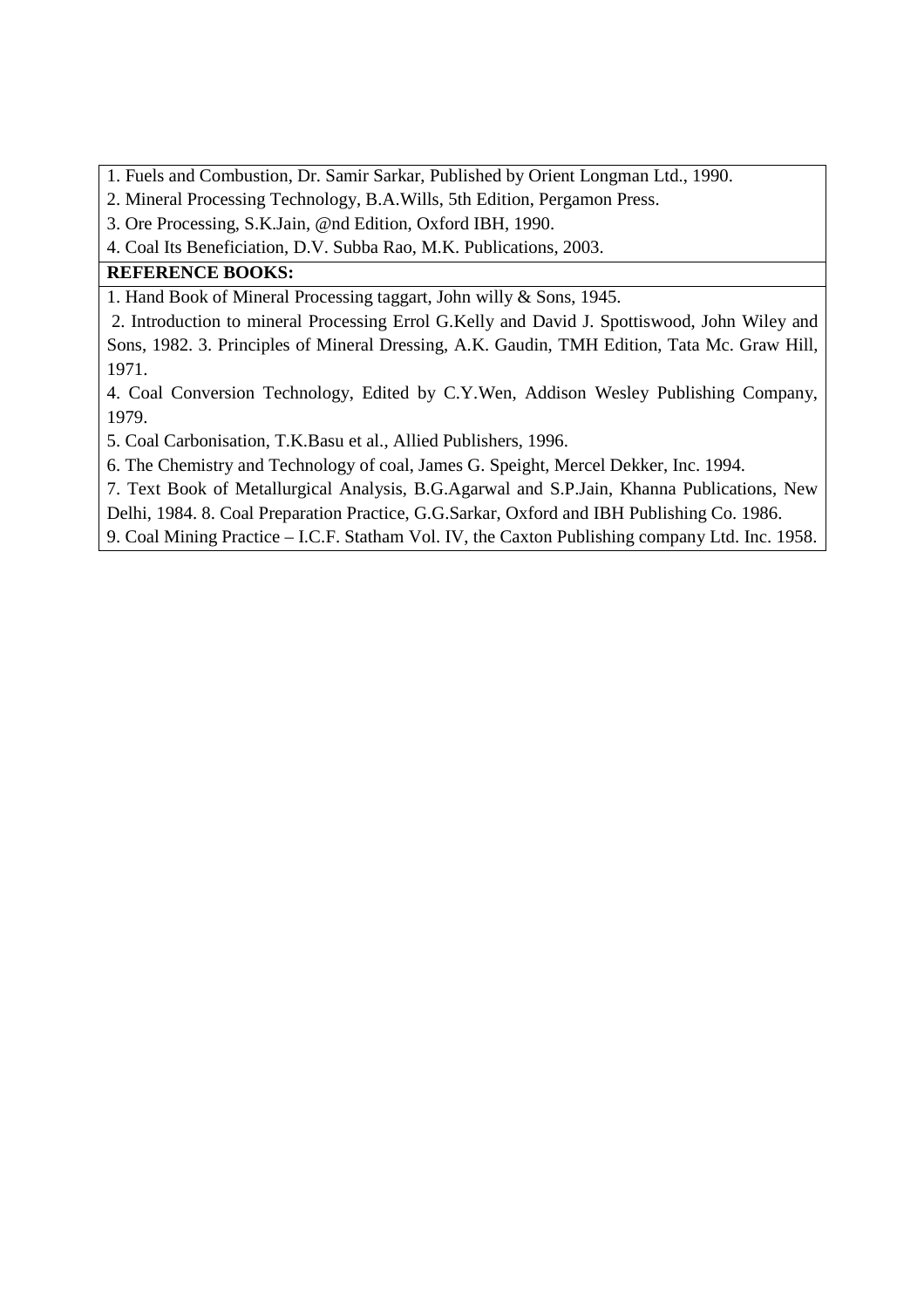- 1. Fuels and Combustion, Dr. Samir Sarkar, Published by Orient Longman Ltd., 1990.
- 2. Mineral Processing Technology, B.A.Wills, 5th Edition, Pergamon Press.
- 3. Ore Processing, S.K.Jain, @nd Edition, Oxford IBH, 1990.
- 4. Coal Its Beneficiation, D.V. Subba Rao, M.K. Publications, 2003.

# **REFERENCE BOOKS:**

1. Hand Book of Mineral Processing taggart, John willy & Sons, 1945.

 2. Introduction to mineral Processing Errol G.Kelly and David J. Spottiswood, John Wiley and Sons, 1982. 3. Principles of Mineral Dressing, A.K. Gaudin, TMH Edition, Tata Mc. Graw Hill, 1971.

4. Coal Conversion Technology, Edited by C.Y.Wen, Addison Wesley Publishing Company, 1979.

5. Coal Carbonisation, T.K.Basu et al., Allied Publishers, 1996.

6. The Chemistry and Technology of coal, James G. Speight, Mercel Dekker, Inc. 1994.

7. Text Book of Metallurgical Analysis, B.G.Agarwal and S.P.Jain, Khanna Publications, New

Delhi, 1984. 8. Coal Preparation Practice, G.G.Sarkar, Oxford and IBH Publishing Co. 1986.

9. Coal Mining Practice – I.C.F. Statham Vol. IV, the Caxton Publishing company Ltd. Inc. 1958.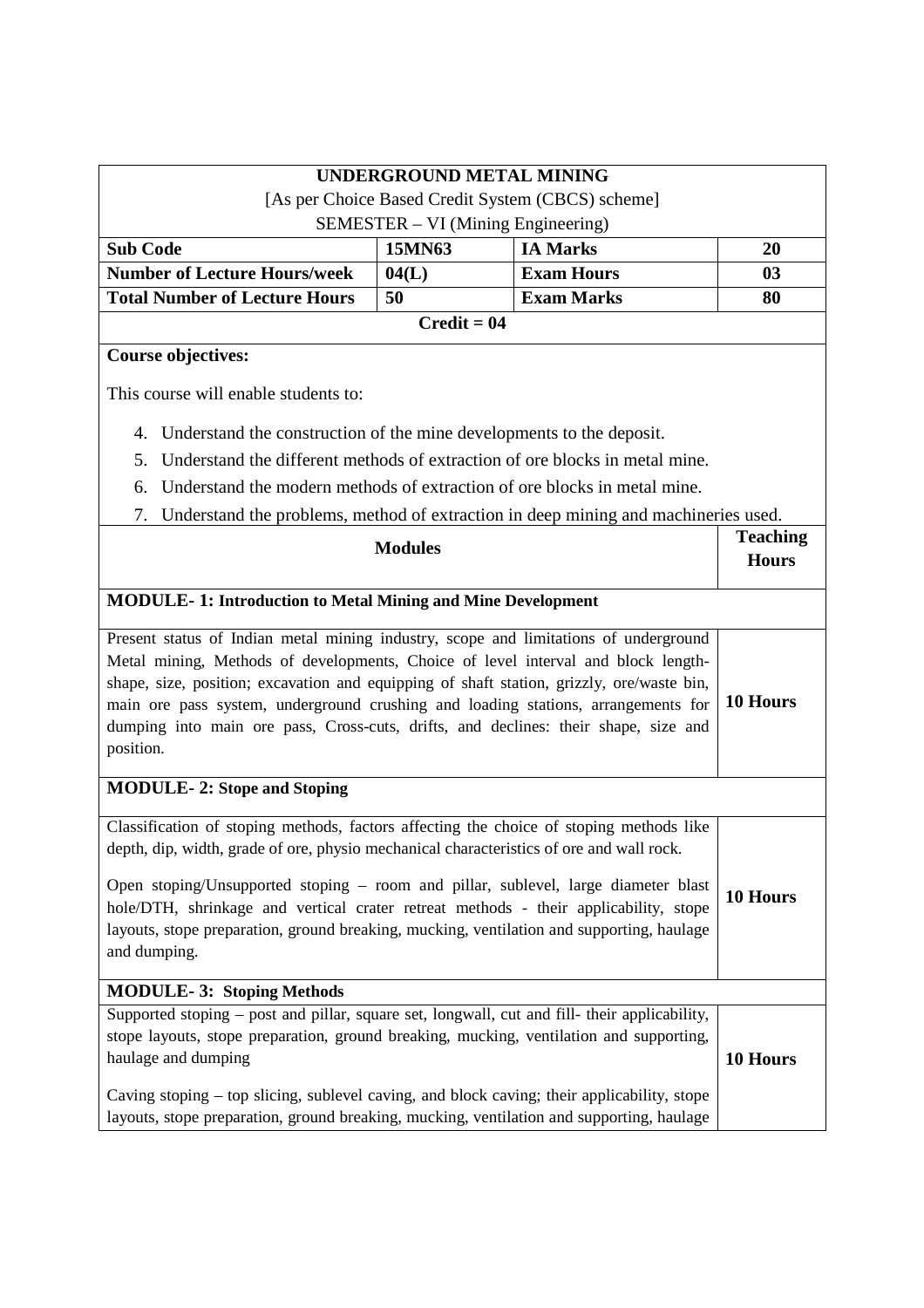|                                                                                                                                                                                                                                                                                                                                                                                                                                                                 |                | <b>UNDERGROUND METAL MINING</b>                                                    |                                 |
|-----------------------------------------------------------------------------------------------------------------------------------------------------------------------------------------------------------------------------------------------------------------------------------------------------------------------------------------------------------------------------------------------------------------------------------------------------------------|----------------|------------------------------------------------------------------------------------|---------------------------------|
|                                                                                                                                                                                                                                                                                                                                                                                                                                                                 |                | [As per Choice Based Credit System (CBCS) scheme]                                  |                                 |
|                                                                                                                                                                                                                                                                                                                                                                                                                                                                 |                | SEMESTER – VI (Mining Engineering)                                                 |                                 |
| <b>Sub Code</b>                                                                                                                                                                                                                                                                                                                                                                                                                                                 | 15MN63         | <b>IA Marks</b>                                                                    | 20                              |
| <b>Number of Lecture Hours/week</b>                                                                                                                                                                                                                                                                                                                                                                                                                             | 04(L)          | <b>Exam Hours</b>                                                                  | 03                              |
| <b>Total Number of Lecture Hours</b>                                                                                                                                                                                                                                                                                                                                                                                                                            | 50             | <b>Exam Marks</b>                                                                  | 80                              |
|                                                                                                                                                                                                                                                                                                                                                                                                                                                                 | $Credit = 04$  |                                                                                    |                                 |
| <b>Course objectives:</b>                                                                                                                                                                                                                                                                                                                                                                                                                                       |                |                                                                                    |                                 |
| This course will enable students to:                                                                                                                                                                                                                                                                                                                                                                                                                            |                |                                                                                    |                                 |
| 4. Understand the construction of the mine developments to the deposit.                                                                                                                                                                                                                                                                                                                                                                                         |                |                                                                                    |                                 |
| 5.                                                                                                                                                                                                                                                                                                                                                                                                                                                              |                | Understand the different methods of extraction of ore blocks in metal mine.        |                                 |
| 6.                                                                                                                                                                                                                                                                                                                                                                                                                                                              |                | Understand the modern methods of extraction of ore blocks in metal mine.           |                                 |
| 7.                                                                                                                                                                                                                                                                                                                                                                                                                                                              |                | Understand the problems, method of extraction in deep mining and machineries used. |                                 |
|                                                                                                                                                                                                                                                                                                                                                                                                                                                                 | <b>Modules</b> |                                                                                    | <b>Teaching</b><br><b>Hours</b> |
| <b>MODULE-1: Introduction to Metal Mining and Mine Development</b>                                                                                                                                                                                                                                                                                                                                                                                              |                |                                                                                    |                                 |
| Present status of Indian metal mining industry, scope and limitations of underground<br>Metal mining, Methods of developments, Choice of level interval and block length-<br>shape, size, position; excavation and equipping of shaft station, grizzly, ore/waste bin,<br>main ore pass system, underground crushing and loading stations, arrangements for<br>dumping into main ore pass, Cross-cuts, drifts, and declines: their shape, size and<br>position. |                |                                                                                    | 10 Hours                        |
| <b>MODULE-2: Stope and Stoping</b>                                                                                                                                                                                                                                                                                                                                                                                                                              |                |                                                                                    |                                 |
| Classification of stoping methods, factors affecting the choice of stoping methods like<br>depth, dip, width, grade of ore, physio mechanical characteristics of ore and wall rock.                                                                                                                                                                                                                                                                             |                |                                                                                    |                                 |
| Open stoping/Unsupported stoping – room and pillar, sublevel, large diameter blast<br>hole/DTH, shrinkage and vertical crater retreat methods - their applicability, stope<br>layouts, stope preparation, ground breaking, mucking, ventilation and supporting, haulage<br>and dumping.                                                                                                                                                                         |                |                                                                                    | 10 Hours                        |
| <b>MODULE-3: Stoping Methods</b>                                                                                                                                                                                                                                                                                                                                                                                                                                |                |                                                                                    |                                 |
| Supported stoping – post and pillar, square set, longwall, cut and fill- their applicability,<br>stope layouts, stope preparation, ground breaking, mucking, ventilation and supporting,<br>haulage and dumping                                                                                                                                                                                                                                                 |                |                                                                                    | 10 Hours                        |
| Caving stoping – top slicing, sublevel caving, and block caving; their applicability, stope<br>layouts, stope preparation, ground breaking, mucking, ventilation and supporting, haulage                                                                                                                                                                                                                                                                        |                |                                                                                    |                                 |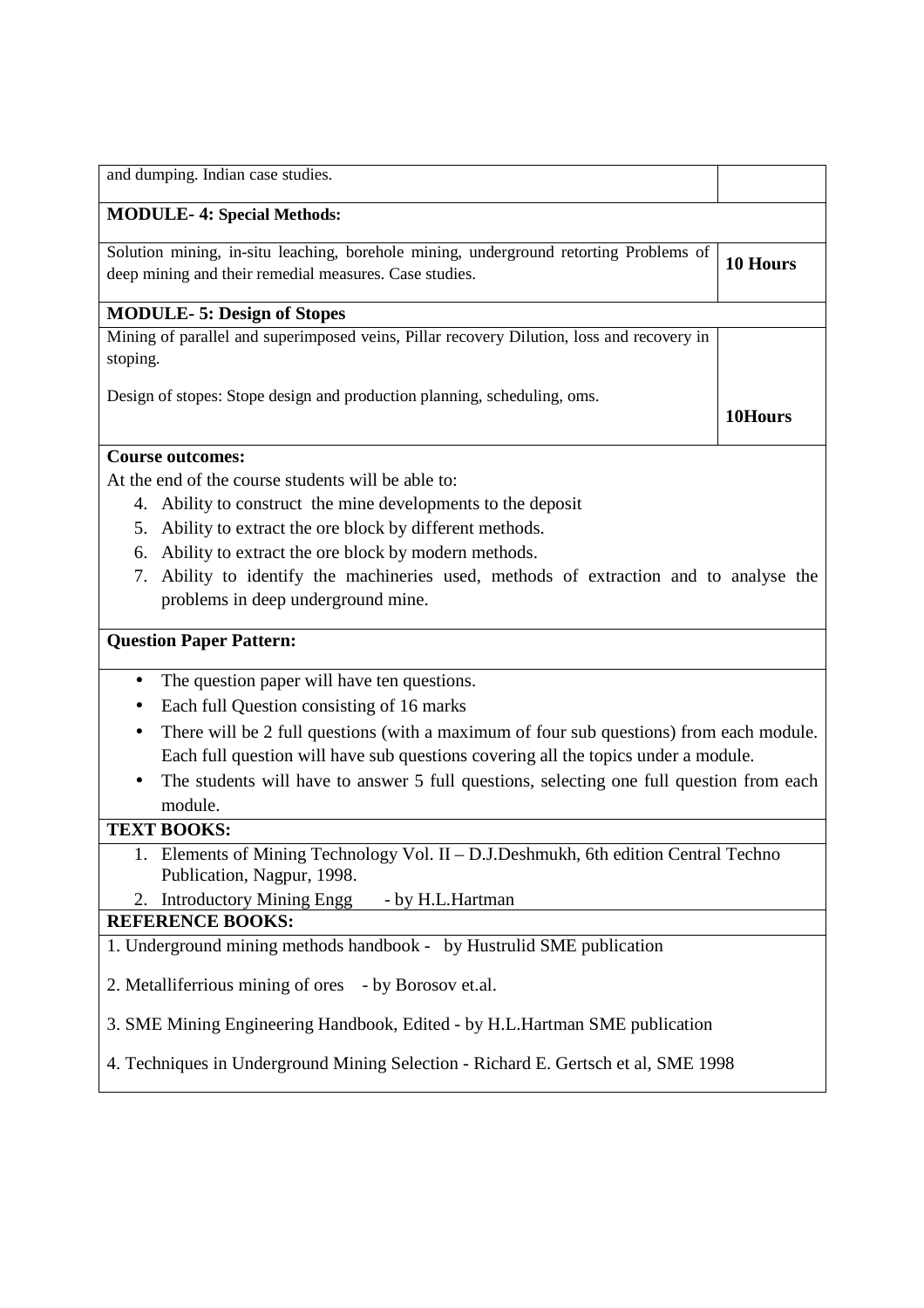| and dumping. Indian case studies.                                                                                                               |          |
|-------------------------------------------------------------------------------------------------------------------------------------------------|----------|
| <b>MODULE-4: Special Methods:</b>                                                                                                               |          |
| Solution mining, in-situ leaching, borehole mining, underground retorting Problems of<br>deep mining and their remedial measures. Case studies. | 10 Hours |
| <b>MODULE-5: Design of Stopes</b>                                                                                                               |          |
| Mining of parallel and superimposed veins, Pillar recovery Dilution, loss and recovery in<br>stoping.                                           |          |
| Design of stopes: Stope design and production planning, scheduling, oms.                                                                        | 10Hours  |
| <b>Course outcomes:</b>                                                                                                                         |          |

At the end of the course students will be able to:

- 4. Ability to construct the mine developments to the deposit
- 5. Ability to extract the ore block by different methods.
- 6. Ability to extract the ore block by modern methods.
- 7. Ability to identify the machineries used, methods of extraction and to analyse the problems in deep underground mine.

#### **Question Paper Pattern:**

- The question paper will have ten questions.
- Each full Question consisting of 16 marks
- There will be 2 full questions (with a maximum of four sub questions) from each module. Each full question will have sub questions covering all the topics under a module.
- The students will have to answer 5 full questions, selecting one full question from each module.

# **TEXT BOOKS:**

1. Elements of Mining Technology Vol. II – D.J.Deshmukh, 6th edition Central Techno Publication, Nagpur, 1998.

2. Introductory Mining Engg - by H.L.Hartman

#### **REFERENCE BOOKS:**

1. Underground mining methods handbook - by Hustrulid SME publication

2. Metalliferrious mining of ores - by Borosov et.al.

3. SME Mining Engineering Handbook, Edited - by H.L.Hartman SME publication

4. Techniques in Underground Mining Selection - Richard E. Gertsch et al, SME 1998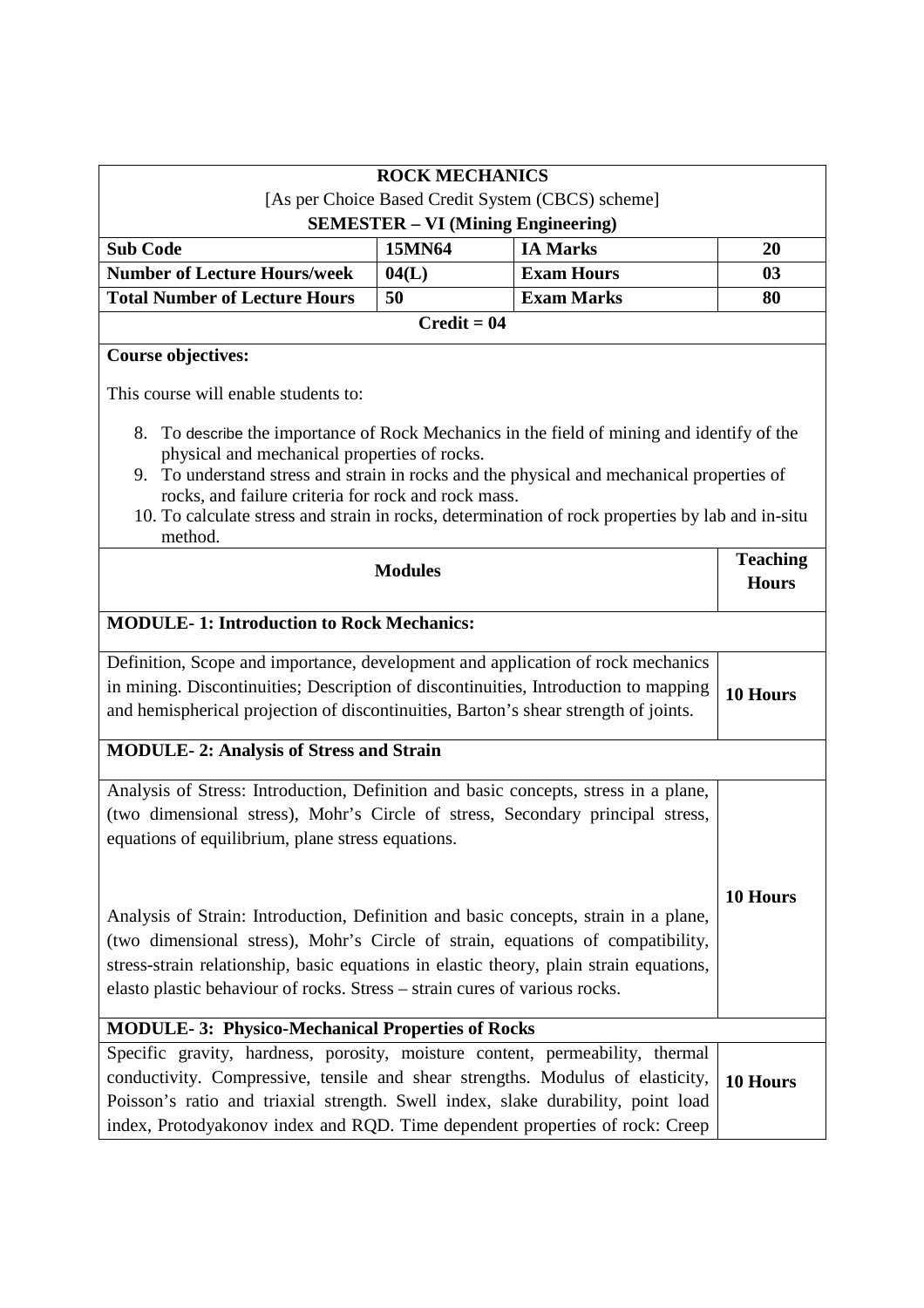| <b>ROCK MECHANICS</b>                                                                                                                                                                                                                                                                                                                                                                                            |                                           |                                        |                                 |
|------------------------------------------------------------------------------------------------------------------------------------------------------------------------------------------------------------------------------------------------------------------------------------------------------------------------------------------------------------------------------------------------------------------|-------------------------------------------|----------------------------------------|---------------------------------|
| [As per Choice Based Credit System (CBCS) scheme]                                                                                                                                                                                                                                                                                                                                                                |                                           |                                        |                                 |
|                                                                                                                                                                                                                                                                                                                                                                                                                  | <b>SEMESTER - VI (Mining Engineering)</b> |                                        |                                 |
| <b>Sub Code</b>                                                                                                                                                                                                                                                                                                                                                                                                  | 15MN64                                    | <b>IA Marks</b>                        | 20                              |
| <b>Number of Lecture Hours/week</b><br><b>Total Number of Lecture Hours</b>                                                                                                                                                                                                                                                                                                                                      | 04(L)<br>50                               | <b>Exam Hours</b><br><b>Exam Marks</b> | 03<br>80                        |
|                                                                                                                                                                                                                                                                                                                                                                                                                  |                                           |                                        |                                 |
| <b>Course objectives:</b>                                                                                                                                                                                                                                                                                                                                                                                        | $Credit = 04$                             |                                        |                                 |
|                                                                                                                                                                                                                                                                                                                                                                                                                  |                                           |                                        |                                 |
| This course will enable students to:                                                                                                                                                                                                                                                                                                                                                                             |                                           |                                        |                                 |
| To describe the importance of Rock Mechanics in the field of mining and identify of the<br>8.<br>physical and mechanical properties of rocks.<br>9. To understand stress and strain in rocks and the physical and mechanical properties of<br>rocks, and failure criteria for rock and rock mass.<br>10. To calculate stress and strain in rocks, determination of rock properties by lab and in-situ<br>method. |                                           |                                        |                                 |
| <b>Modules</b>                                                                                                                                                                                                                                                                                                                                                                                                   |                                           |                                        | <b>Teaching</b><br><b>Hours</b> |
| <b>MODULE-1: Introduction to Rock Mechanics:</b>                                                                                                                                                                                                                                                                                                                                                                 |                                           |                                        |                                 |
| Definition, Scope and importance, development and application of rock mechanics                                                                                                                                                                                                                                                                                                                                  |                                           |                                        |                                 |
| in mining. Discontinuities; Description of discontinuities, Introduction to mapping<br>and hemispherical projection of discontinuities, Barton's shear strength of joints.                                                                                                                                                                                                                                       |                                           |                                        | 10 Hours                        |
| <b>MODULE-2: Analysis of Stress and Strain</b>                                                                                                                                                                                                                                                                                                                                                                   |                                           |                                        |                                 |
| Analysis of Stress: Introduction, Definition and basic concepts, stress in a plane,<br>(two dimensional stress), Mohr's Circle of stress, Secondary principal stress,<br>equations of equilibrium, plane stress equations.                                                                                                                                                                                       |                                           |                                        |                                 |
| Analysis of Strain: Introduction, Definition and basic concepts, strain in a plane,<br>(two dimensional stress), Mohr's Circle of strain, equations of compatibility,<br>stress-strain relationship, basic equations in elastic theory, plain strain equations,<br>elasto plastic behaviour of rocks. Stress – strain cures of various rocks.                                                                    |                                           |                                        | <b>10 Hours</b>                 |
| <b>MODULE-3: Physico-Mechanical Properties of Rocks</b>                                                                                                                                                                                                                                                                                                                                                          |                                           |                                        |                                 |
| Specific gravity, hardness, porosity, moisture content, permeability, thermal<br>conductivity. Compressive, tensile and shear strengths. Modulus of elasticity,<br>Poisson's ratio and triaxial strength. Swell index, slake durability, point load<br>index, Protodyakonov index and RQD. Time dependent properties of rock: Creep                                                                              |                                           |                                        | 10 Hours                        |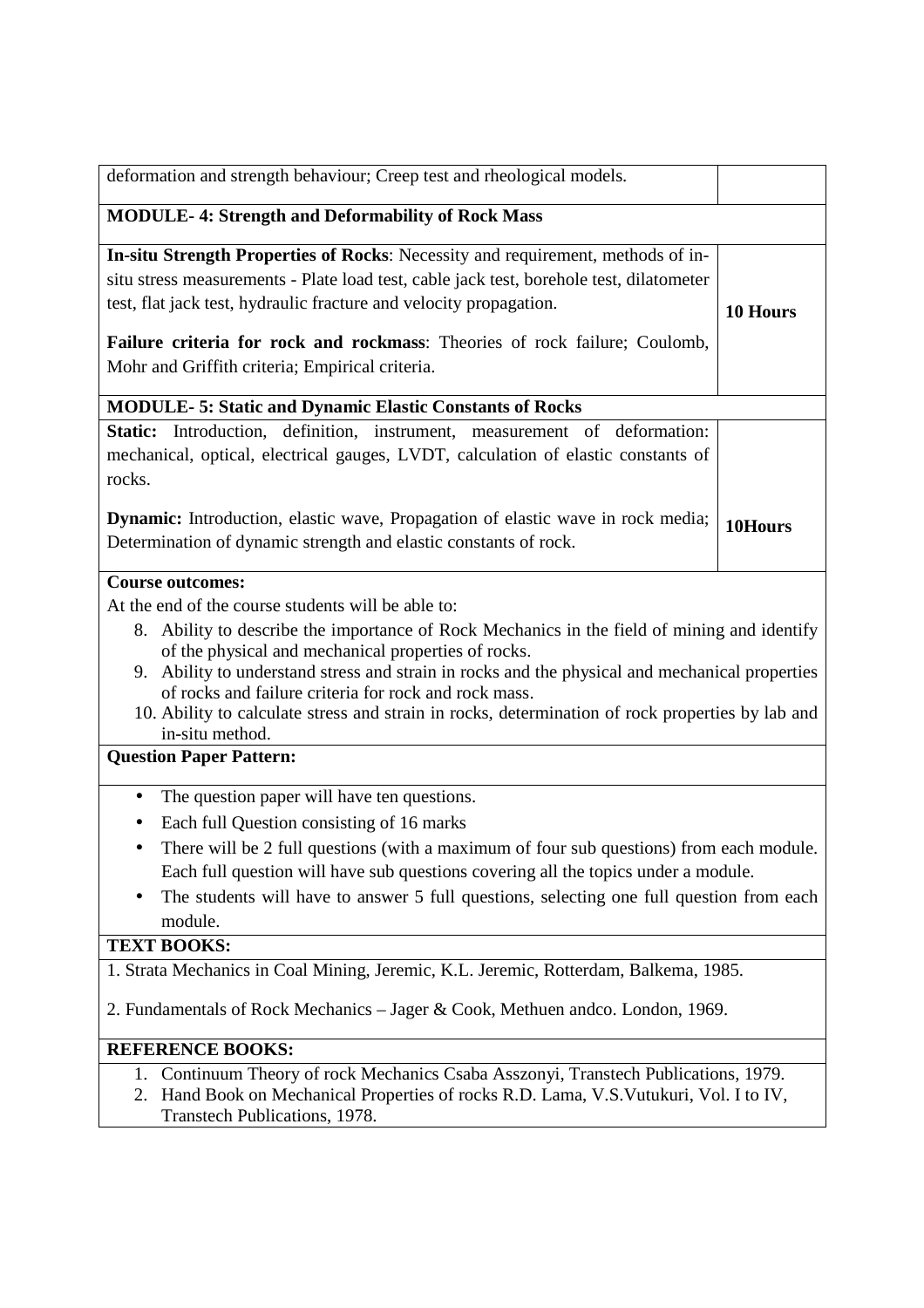| deformation and strength behaviour; Creep test and rheological models.                                                                                                                                                                                                                                                                                                                                                                                                                        |          |  |
|-----------------------------------------------------------------------------------------------------------------------------------------------------------------------------------------------------------------------------------------------------------------------------------------------------------------------------------------------------------------------------------------------------------------------------------------------------------------------------------------------|----------|--|
| <b>MODULE-4: Strength and Deformability of Rock Mass</b>                                                                                                                                                                                                                                                                                                                                                                                                                                      |          |  |
| In-situ Strength Properties of Rocks: Necessity and requirement, methods of in-<br>situ stress measurements - Plate load test, cable jack test, borehole test, dilatometer<br>test, flat jack test, hydraulic fracture and velocity propagation.<br>Failure criteria for rock and rockmass: Theories of rock failure; Coulomb,<br>Mohr and Griffith criteria; Empirical criteria.                                                                                                             | 10 Hours |  |
| <b>MODULE-5: Static and Dynamic Elastic Constants of Rocks</b>                                                                                                                                                                                                                                                                                                                                                                                                                                |          |  |
| Static: Introduction, definition, instrument, measurement of deformation:<br>mechanical, optical, electrical gauges, LVDT, calculation of elastic constants of<br>rocks.<br><b>Dynamic:</b> Introduction, elastic wave, Propagation of elastic wave in rock media;                                                                                                                                                                                                                            |          |  |
| Determination of dynamic strength and elastic constants of rock.                                                                                                                                                                                                                                                                                                                                                                                                                              | 10Hours  |  |
| <b>Course outcomes:</b>                                                                                                                                                                                                                                                                                                                                                                                                                                                                       |          |  |
| At the end of the course students will be able to:<br>8. Ability to describe the importance of Rock Mechanics in the field of mining and identify<br>of the physical and mechanical properties of rocks.<br>Ability to understand stress and strain in rocks and the physical and mechanical properties<br>9.<br>of rocks and failure criteria for rock and rock mass.<br>10. Ability to calculate stress and strain in rocks, determination of rock properties by lab and<br>in-situ method. |          |  |
| <b>Question Paper Pattern:</b>                                                                                                                                                                                                                                                                                                                                                                                                                                                                |          |  |
| The question paper will have ten questions.<br>$\bullet$<br>Each full Question consisting of 16 marks<br>There will be 2 full questions (with a maximum of four sub questions) from each module.<br>٠<br>Each full question will have sub questions covering all the topics under a module.<br>The students will have to answer 5 full questions, selecting one full question from each<br>module.                                                                                            |          |  |
| <b>TEXT BOOKS:</b>                                                                                                                                                                                                                                                                                                                                                                                                                                                                            |          |  |
| 1. Strata Mechanics in Coal Mining, Jeremic, K.L. Jeremic, Rotterdam, Balkema, 1985.<br>2. Fundamentals of Rock Mechanics - Jager & Cook, Methuen andco. London, 1969.<br><b>REFERENCE BOOKS:</b>                                                                                                                                                                                                                                                                                             |          |  |
| Continuum Theory of rock Mechanics Csaba Asszonyi, Transtech Publications, 1979.<br>1.<br>Hand Book on Mechanical Properties of rocks R.D. Lama, V.S. Vutukuri, Vol. I to IV,<br>2.<br>Transtech Publications, 1978.                                                                                                                                                                                                                                                                          |          |  |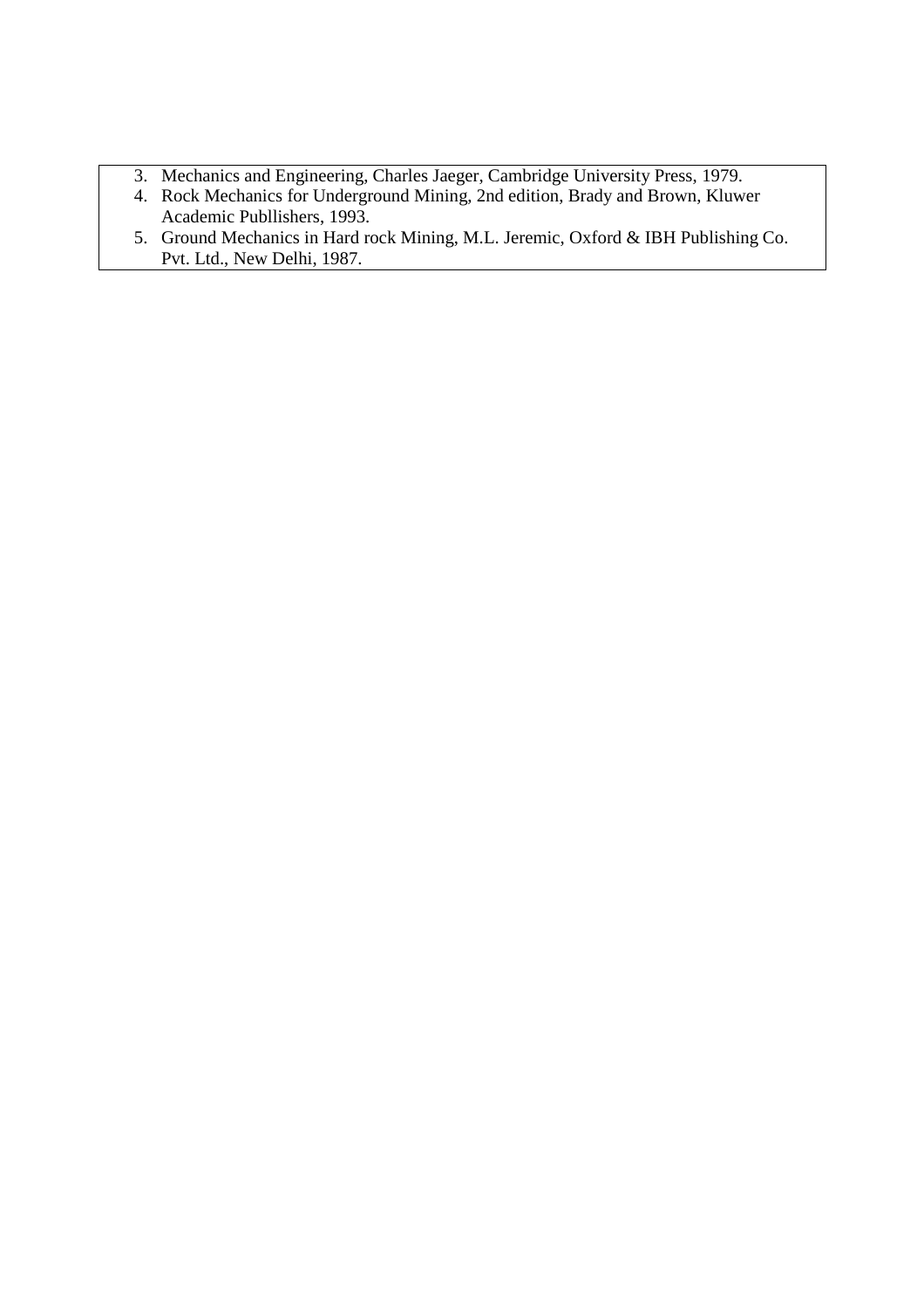- 3. Mechanics and Engineering, Charles Jaeger, Cambridge University Press, 1979.
- 4. Rock Mechanics for Underground Mining, 2nd edition, Brady and Brown, Kluwer Academic Publlishers, 1993.
- 5. Ground Mechanics in Hard rock Mining, M.L. Jeremic, Oxford & IBH Publishing Co. Pvt. Ltd., New Delhi, 1987.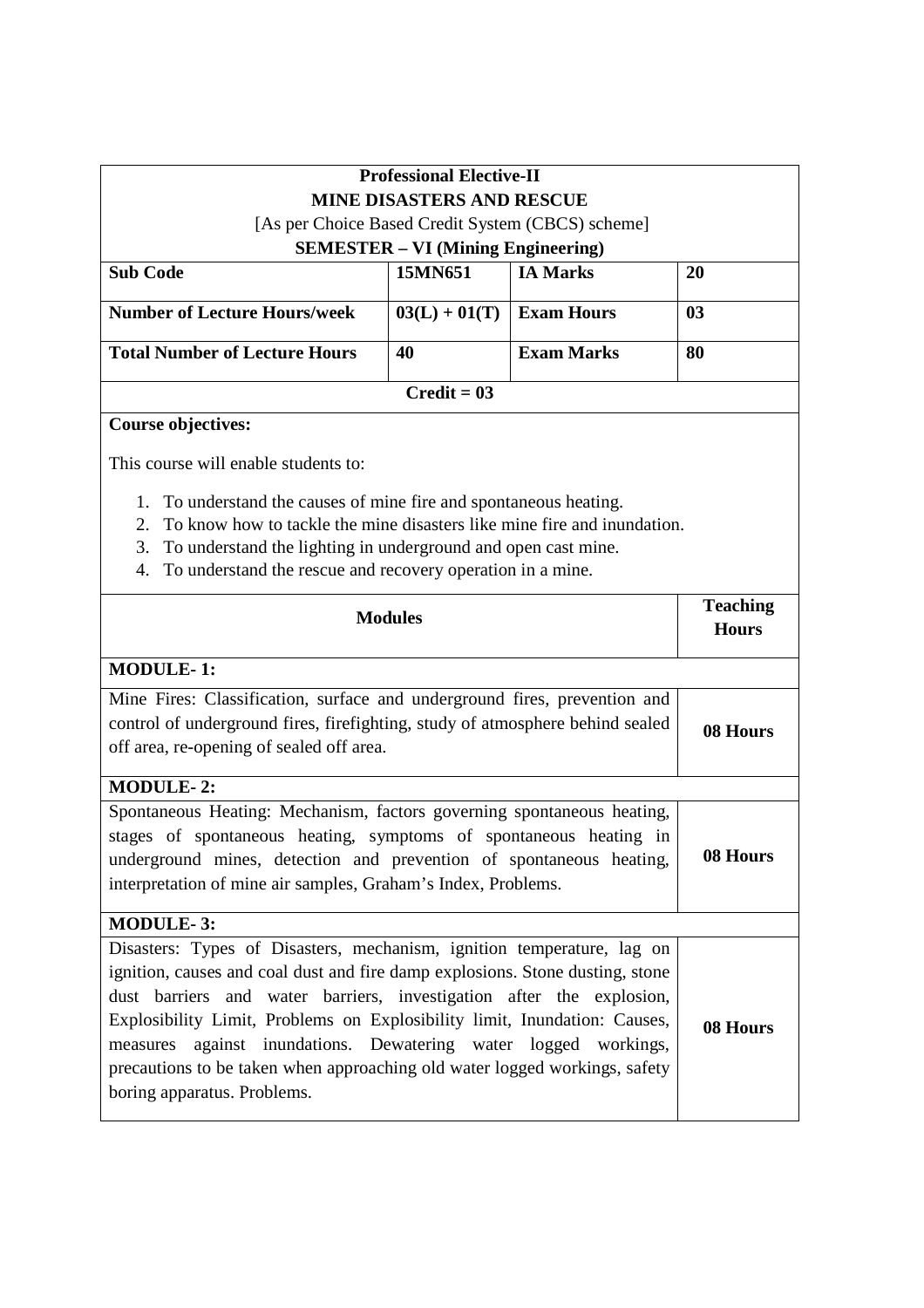| <b>Professional Elective-II</b>                                                                                                                                                                                                                                                                                                                                                                                                                                                                 |                 |                                 |          |
|-------------------------------------------------------------------------------------------------------------------------------------------------------------------------------------------------------------------------------------------------------------------------------------------------------------------------------------------------------------------------------------------------------------------------------------------------------------------------------------------------|-----------------|---------------------------------|----------|
| <b>MINE DISASTERS AND RESCUE</b>                                                                                                                                                                                                                                                                                                                                                                                                                                                                |                 |                                 |          |
| [As per Choice Based Credit System (CBCS) scheme]<br><b>SEMESTER - VI (Mining Engineering)</b>                                                                                                                                                                                                                                                                                                                                                                                                  |                 |                                 |          |
| <b>Sub Code</b>                                                                                                                                                                                                                                                                                                                                                                                                                                                                                 | 15MN651         | <b>IA Marks</b>                 | 20       |
| <b>Number of Lecture Hours/week</b>                                                                                                                                                                                                                                                                                                                                                                                                                                                             | $03(L) + 01(T)$ | <b>Exam Hours</b>               | 03       |
| <b>Total Number of Lecture Hours</b>                                                                                                                                                                                                                                                                                                                                                                                                                                                            | 40              | <b>Exam Marks</b>               | 80       |
|                                                                                                                                                                                                                                                                                                                                                                                                                                                                                                 | $Credit = 03$   |                                 |          |
| <b>Course objectives:</b>                                                                                                                                                                                                                                                                                                                                                                                                                                                                       |                 |                                 |          |
| This course will enable students to:                                                                                                                                                                                                                                                                                                                                                                                                                                                            |                 |                                 |          |
| To understand the causes of mine fire and spontaneous heating.<br>1.<br>To know how to tackle the mine disasters like mine fire and inundation.<br>2.<br>To understand the lighting in underground and open cast mine.<br>3.<br>To understand the rescue and recovery operation in a mine.<br>4.                                                                                                                                                                                                |                 |                                 |          |
| <b>Modules</b>                                                                                                                                                                                                                                                                                                                                                                                                                                                                                  |                 | <b>Teaching</b><br><b>Hours</b> |          |
| <b>MODULE-1:</b>                                                                                                                                                                                                                                                                                                                                                                                                                                                                                |                 |                                 |          |
| Mine Fires: Classification, surface and underground fires, prevention and                                                                                                                                                                                                                                                                                                                                                                                                                       |                 |                                 |          |
| control of underground fires, firefighting, study of atmosphere behind sealed<br>off area, re-opening of sealed off area.                                                                                                                                                                                                                                                                                                                                                                       |                 |                                 | 08 Hours |
| <b>MODULE-2:</b>                                                                                                                                                                                                                                                                                                                                                                                                                                                                                |                 |                                 |          |
| Spontaneous Heating: Mechanism, factors governing spontaneous heating,<br>stages of spontaneous heating, symptoms of spontaneous heating in<br>underground mines, detection and prevention of spontaneous heating,<br>interpretation of mine air samples, Graham's Index, Problems.                                                                                                                                                                                                             |                 | 08 Hours                        |          |
| <b>MODULE-3:</b>                                                                                                                                                                                                                                                                                                                                                                                                                                                                                |                 |                                 |          |
| Disasters: Types of Disasters, mechanism, ignition temperature, lag on<br>ignition, causes and coal dust and fire damp explosions. Stone dusting, stone<br>dust barriers and water barriers, investigation after the explosion,<br>Explosibility Limit, Problems on Explosibility limit, Inundation: Causes,<br>against inundations. Dewatering water logged workings,<br>measures<br>precautions to be taken when approaching old water logged workings, safety<br>boring apparatus. Problems. |                 | 08 Hours                        |          |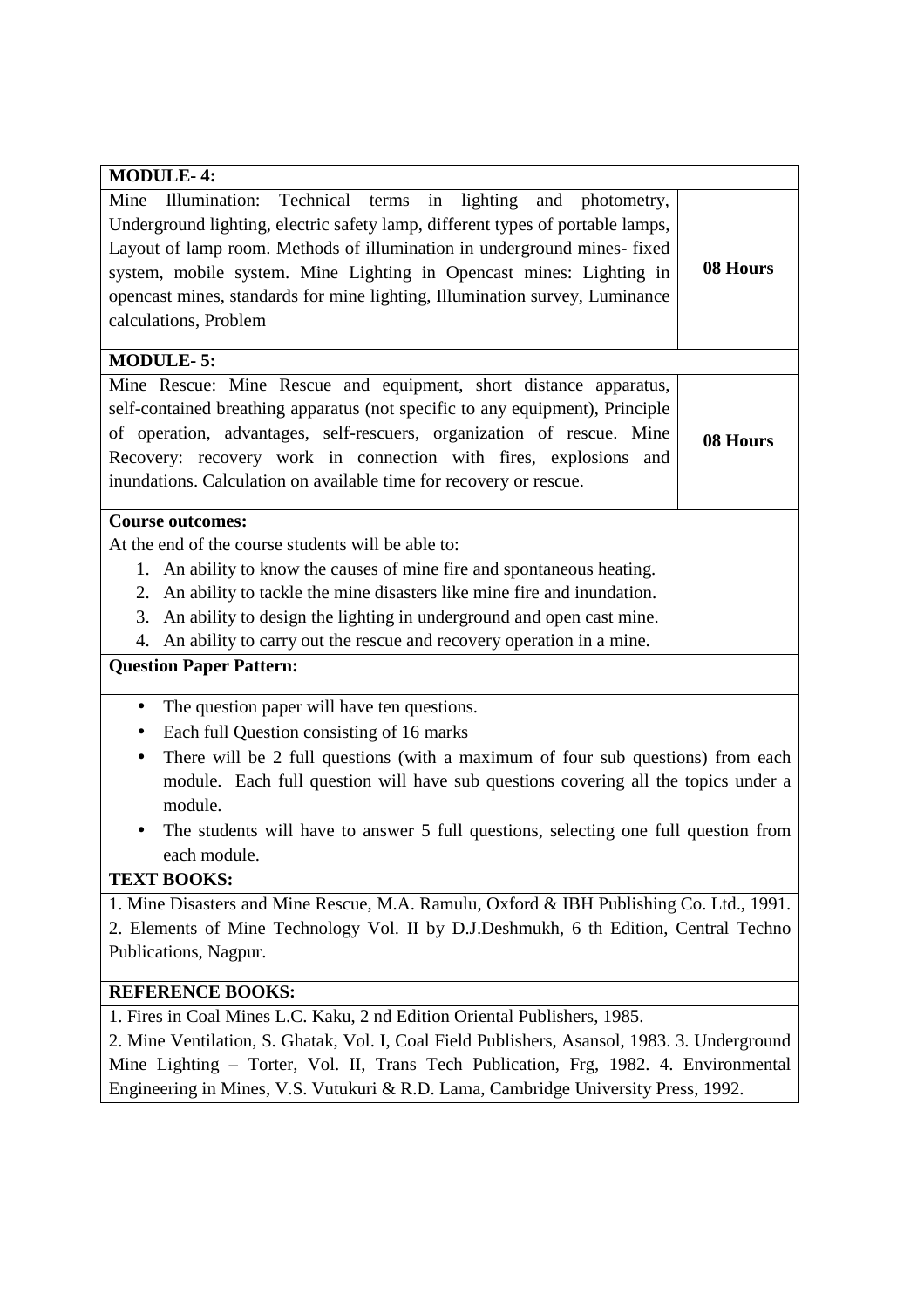| <b>MODULE-4:</b>                                                                                                                                                                                                                                                                                                                                                                                                           |          |
|----------------------------------------------------------------------------------------------------------------------------------------------------------------------------------------------------------------------------------------------------------------------------------------------------------------------------------------------------------------------------------------------------------------------------|----------|
| Illumination: Technical<br>in<br>Mine<br>lighting and photometry,<br>terms<br>Underground lighting, electric safety lamp, different types of portable lamps,<br>Layout of lamp room. Methods of illumination in underground mines-fixed<br>system, mobile system. Mine Lighting in Opencast mines: Lighting in<br>opencast mines, standards for mine lighting, Illumination survey, Luminance<br>calculations, Problem     | 08 Hours |
| <b>MODULE-5:</b>                                                                                                                                                                                                                                                                                                                                                                                                           |          |
| Mine Rescue: Mine Rescue and equipment, short distance apparatus,<br>self-contained breathing apparatus (not specific to any equipment), Principle<br>of operation, advantages, self-rescuers, organization of rescue. Mine<br>Recovery: recovery work in connection with fires, explosions and<br>inundations. Calculation on available time for recovery or rescue.                                                      | 08 Hours |
| <b>Course outcomes:</b><br>At the end of the course students will be able to:<br>1. An ability to know the causes of mine fire and spontaneous heating.<br>2. An ability to tackle the mine disasters like mine fire and inundation.<br>An ability to design the lighting in underground and open cast mine.<br>3.<br>An ability to carry out the rescue and recovery operation in a mine.<br>4.                           |          |
| <b>Question Paper Pattern:</b>                                                                                                                                                                                                                                                                                                                                                                                             |          |
| The question paper will have ten questions.<br>$\bullet$<br>Each full Question consisting of 16 marks<br>$\bullet$<br>There will be 2 full questions (with a maximum of four sub questions) from each<br>$\bullet$<br>module. Each full question will have sub questions covering all the topics under a<br>module.<br>The students will have to answer 5 full questions, selecting one full question from<br>each module. |          |
| <b>TEXT BOOKS:</b>                                                                                                                                                                                                                                                                                                                                                                                                         |          |
| 1. Mine Disasters and Mine Rescue, M.A. Ramulu, Oxford & IBH Publishing Co. Ltd., 1991.<br>2. Elements of Mine Technology Vol. II by D.J.Deshmukh, 6 th Edition, Central Techno<br>Publications, Nagpur.                                                                                                                                                                                                                   |          |
| <b>REFERENCE BOOKS:</b>                                                                                                                                                                                                                                                                                                                                                                                                    |          |
| 1. Fires in Coal Mines L.C. Kaku, 2 nd Edition Oriental Publishers, 1985.<br>2. Mine Ventilation, S. Ghatak, Vol. I, Coal Field Publishers, Asansol, 1983. 3. Underground<br>Mine Lighting - Torter, Vol. II, Trans Tech Publication, Frg, 1982. 4. Environmental<br>Engineering in Mines, V.S. Vutukuri & R.D. Lama, Cambridge University Press, 1992.                                                                    |          |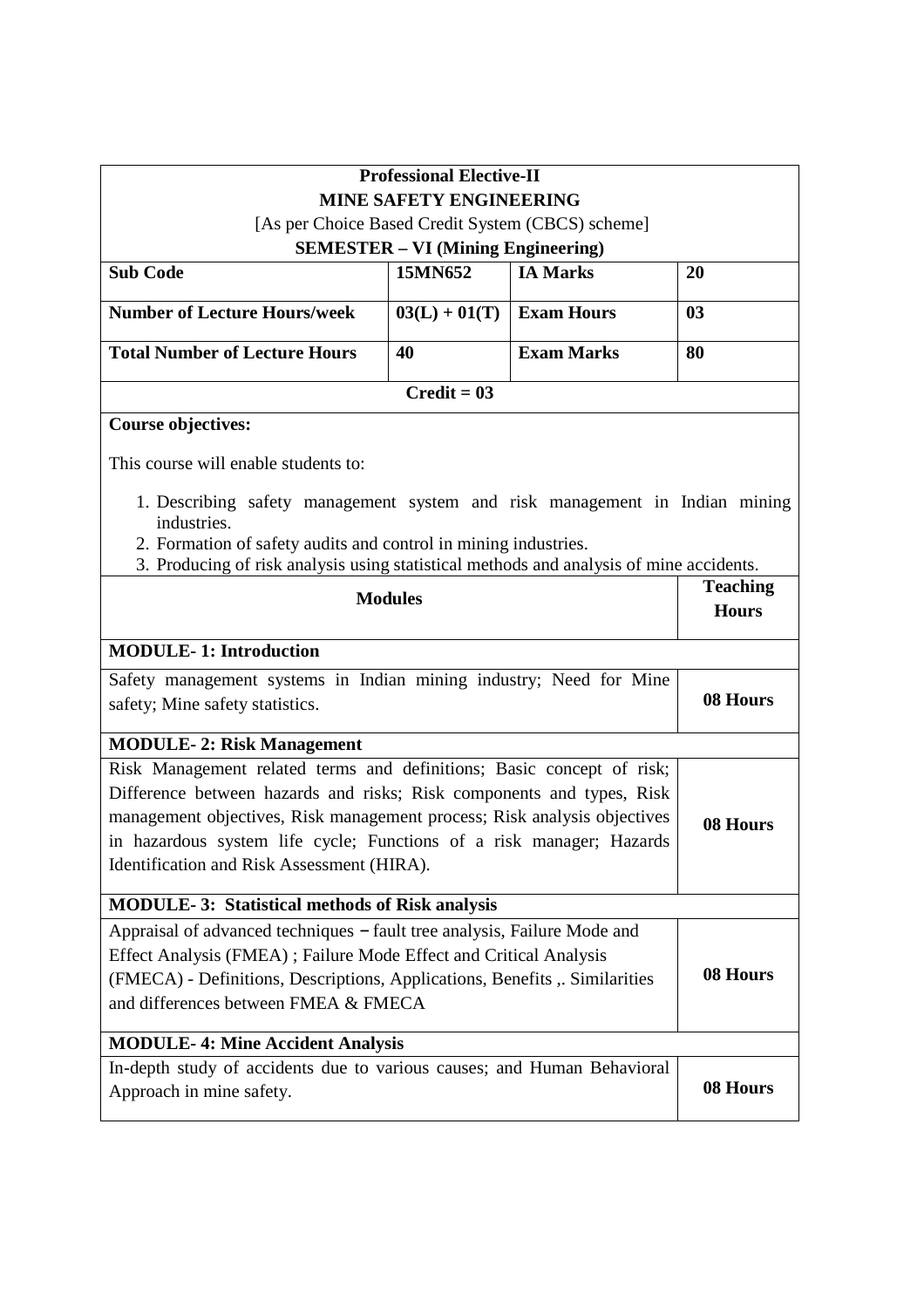| <b>Professional Elective-II</b>                                                                                                                                                                                                                                                                                                                  |                                           |                   |                |
|--------------------------------------------------------------------------------------------------------------------------------------------------------------------------------------------------------------------------------------------------------------------------------------------------------------------------------------------------|-------------------------------------------|-------------------|----------------|
| <b>MINE SAFETY ENGINEERING</b>                                                                                                                                                                                                                                                                                                                   |                                           |                   |                |
| [As per Choice Based Credit System (CBCS) scheme]                                                                                                                                                                                                                                                                                                |                                           |                   |                |
|                                                                                                                                                                                                                                                                                                                                                  | <b>SEMESTER - VI (Mining Engineering)</b> |                   |                |
| <b>Sub Code</b>                                                                                                                                                                                                                                                                                                                                  | 15MN652                                   | <b>IA Marks</b>   | 20             |
| <b>Number of Lecture Hours/week</b>                                                                                                                                                                                                                                                                                                              | $03(L) + 01(T)$                           | <b>Exam Hours</b> | 0 <sub>3</sub> |
| <b>Total Number of Lecture Hours</b>                                                                                                                                                                                                                                                                                                             | 40                                        | <b>Exam Marks</b> | 80             |
|                                                                                                                                                                                                                                                                                                                                                  | $Credit = 03$                             |                   |                |
| <b>Course objectives:</b>                                                                                                                                                                                                                                                                                                                        |                                           |                   |                |
| This course will enable students to:                                                                                                                                                                                                                                                                                                             |                                           |                   |                |
| 1. Describing safety management system and risk management in Indian mining<br>industries.                                                                                                                                                                                                                                                       |                                           |                   |                |
| 2. Formation of safety audits and control in mining industries.                                                                                                                                                                                                                                                                                  |                                           |                   |                |
| 3. Producing of risk analysis using statistical methods and analysis of mine accidents.<br><b>Teaching</b>                                                                                                                                                                                                                                       |                                           |                   |                |
| <b>Modules</b>                                                                                                                                                                                                                                                                                                                                   |                                           | <b>Hours</b>      |                |
| <b>MODULE-1: Introduction</b>                                                                                                                                                                                                                                                                                                                    |                                           |                   |                |
| Safety management systems in Indian mining industry; Need for Mine                                                                                                                                                                                                                                                                               |                                           |                   |                |
| safety; Mine safety statistics.                                                                                                                                                                                                                                                                                                                  |                                           | 08 Hours          |                |
| <b>MODULE-2: Risk Management</b>                                                                                                                                                                                                                                                                                                                 |                                           |                   |                |
| Risk Management related terms and definitions; Basic concept of risk;<br>Difference between hazards and risks; Risk components and types, Risk<br>management objectives, Risk management process; Risk analysis objectives<br>in hazardous system life cycle; Functions of a risk manager; Hazards<br>Identification and Risk Assessment (HIRA). |                                           | 08 Hours          |                |
| <b>MODULE-3: Statistical methods of Risk analysis</b>                                                                                                                                                                                                                                                                                            |                                           |                   |                |
| Appraisal of advanced techniques - fault tree analysis, Failure Mode and<br>Effect Analysis (FMEA); Failure Mode Effect and Critical Analysis<br>(FMECA) - Definitions, Descriptions, Applications, Benefits, Similarities<br>and differences between FMEA & FMECA                                                                               |                                           | 08 Hours          |                |
| <b>MODULE-4: Mine Accident Analysis</b>                                                                                                                                                                                                                                                                                                          |                                           |                   |                |
| In-depth study of accidents due to various causes; and Human Behavioral<br>Approach in mine safety.                                                                                                                                                                                                                                              |                                           |                   | 08 Hours       |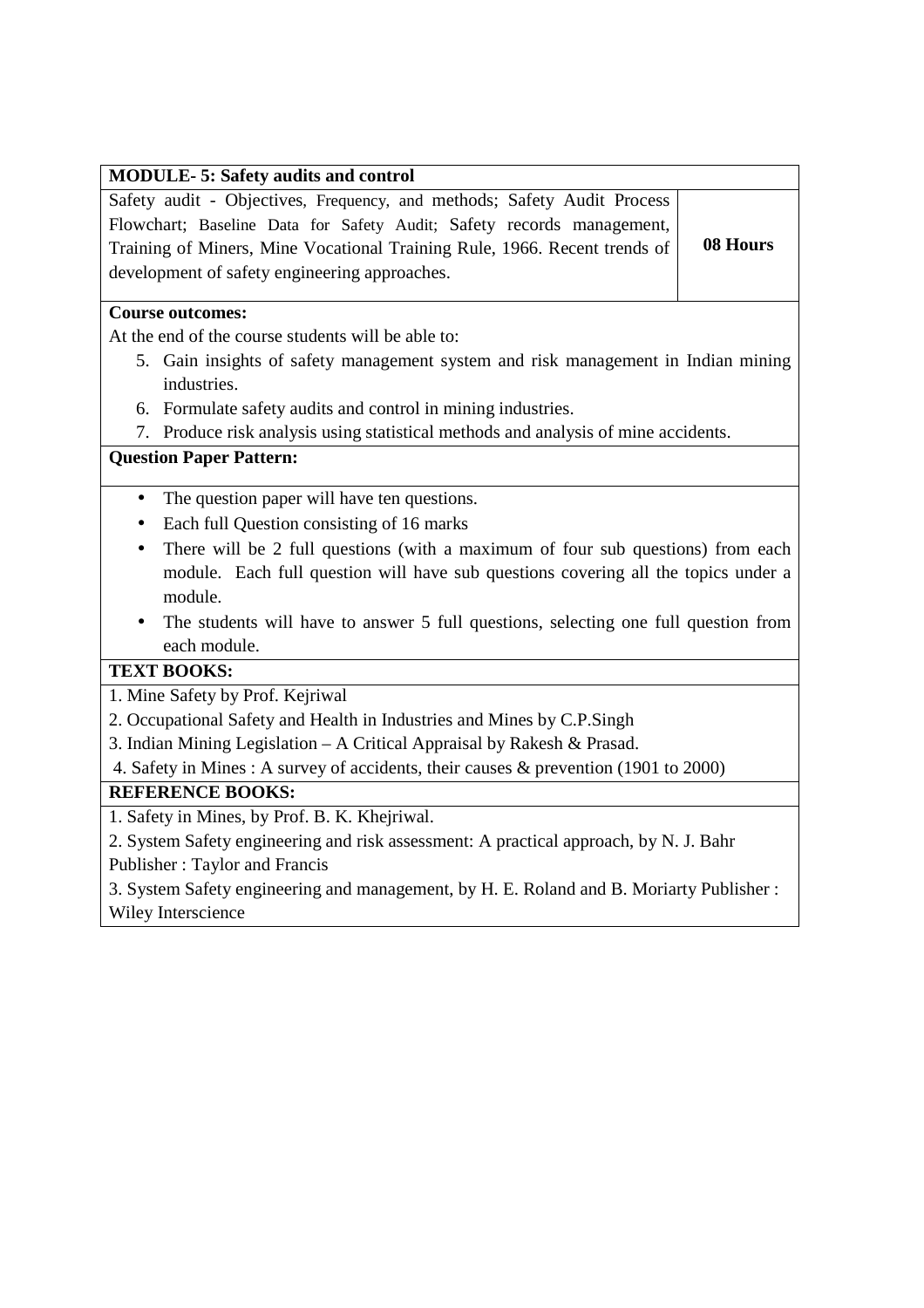| <b>MODULE-5: Safety audits and control</b>                                |          |
|---------------------------------------------------------------------------|----------|
| Safety audit - Objectives, Frequency, and methods; Safety Audit Process   |          |
| Flowchart; Baseline Data for Safety Audit; Safety records management,     |          |
| Training of Miners, Mine Vocational Training Rule, 1966. Recent trends of | 08 Hours |
| development of safety engineering approaches.                             |          |

#### **Course outcomes:**

At the end of the course students will be able to:

- 5. Gain insights of safety management system and risk management in Indian mining industries.
- 6. Formulate safety audits and control in mining industries.
- 7. Produce risk analysis using statistical methods and analysis of mine accidents.

# **Question Paper Pattern:**

- The question paper will have ten questions.
- Each full Question consisting of 16 marks
- There will be 2 full questions (with a maximum of four sub questions) from each module. Each full question will have sub questions covering all the topics under a module.
- The students will have to answer 5 full questions, selecting one full question from each module.

# **TEXT BOOKS:**

1. Mine Safety by Prof. Kejriwal

- 2. Occupational Safety and Health in Industries and Mines by C.P.Singh
- 3. Indian Mining Legislation A Critical Appraisal by Rakesh & Prasad.

4. Safety in Mines : A survey of accidents, their causes & prevention (1901 to 2000)

# **REFERENCE BOOKS:**

1. Safety in Mines, by Prof. B. K. Khejriwal.

2. System Safety engineering and risk assessment: A practical approach, by N. J. Bahr Publisher : Taylor and Francis

3. System Safety engineering and management, by H. E. Roland and B. Moriarty Publisher : Wiley Interscience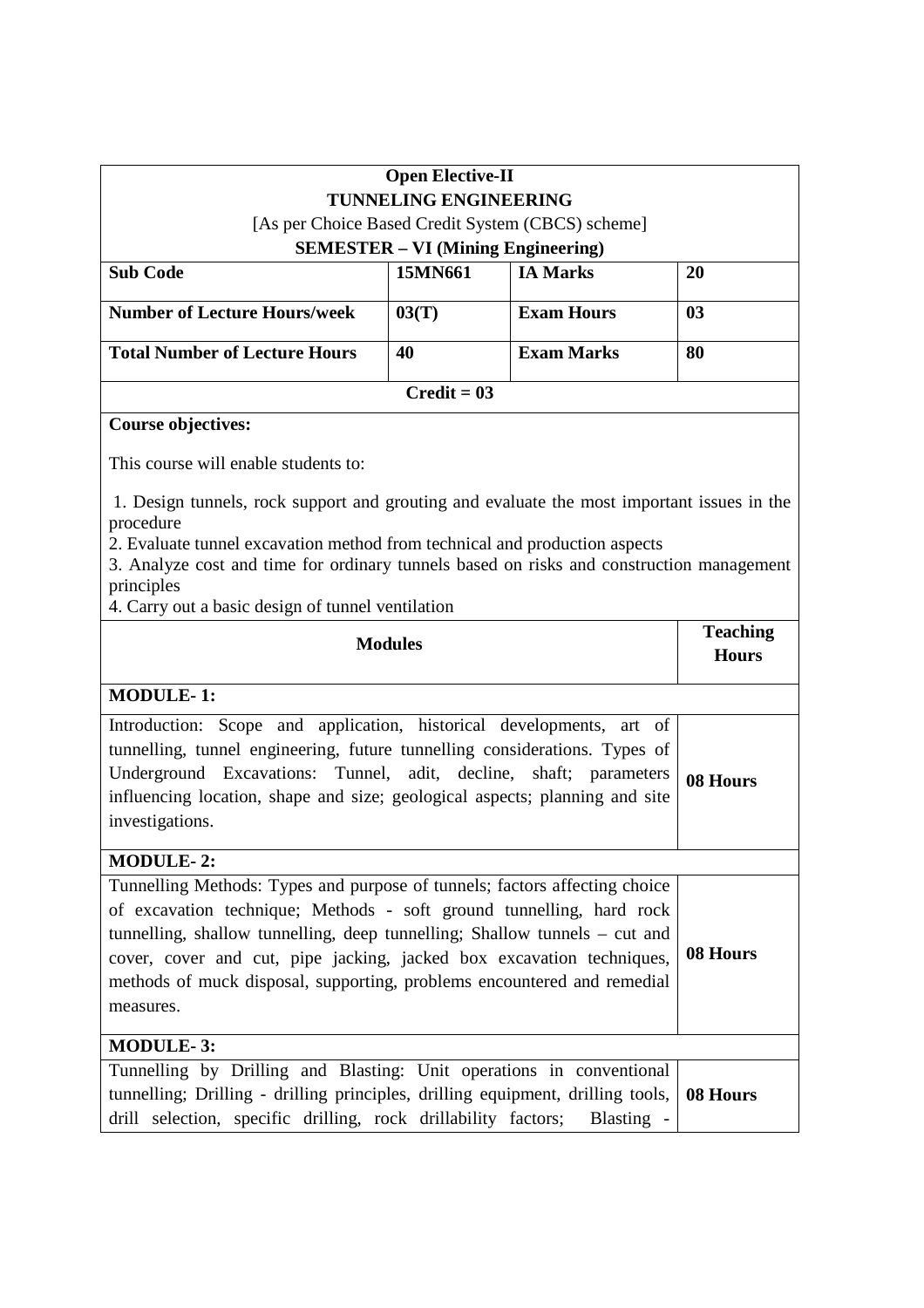|                                                                                                                                                                                      | <b>Open Elective-II</b>                   |                                                   |                 |
|--------------------------------------------------------------------------------------------------------------------------------------------------------------------------------------|-------------------------------------------|---------------------------------------------------|-----------------|
|                                                                                                                                                                                      | <b>TUNNELING ENGINEERING</b>              |                                                   |                 |
|                                                                                                                                                                                      |                                           | [As per Choice Based Credit System (CBCS) scheme] |                 |
|                                                                                                                                                                                      | <b>SEMESTER – VI (Mining Engineering)</b> |                                                   |                 |
| <b>Sub Code</b>                                                                                                                                                                      | 15MN661                                   | <b>IA Marks</b>                                   | 20              |
| <b>Number of Lecture Hours/week</b>                                                                                                                                                  | 03(T)                                     | <b>Exam Hours</b>                                 | 0 <sub>3</sub>  |
| <b>Total Number of Lecture Hours</b>                                                                                                                                                 | 40                                        | <b>Exam Marks</b>                                 | 80              |
|                                                                                                                                                                                      | $Credit = 03$                             |                                                   |                 |
| <b>Course objectives:</b>                                                                                                                                                            |                                           |                                                   |                 |
| This course will enable students to:                                                                                                                                                 |                                           |                                                   |                 |
| 1. Design tunnels, rock support and grouting and evaluate the most important issues in the<br>procedure                                                                              |                                           |                                                   |                 |
| 2. Evaluate tunnel excavation method from technical and production aspects<br>3. Analyze cost and time for ordinary tunnels based on risks and construction management<br>principles |                                           |                                                   |                 |
| 4. Carry out a basic design of tunnel ventilation                                                                                                                                    |                                           |                                                   |                 |
|                                                                                                                                                                                      |                                           |                                                   | <b>Teaching</b> |
| <b>Modules</b>                                                                                                                                                                       |                                           | <b>Hours</b>                                      |                 |
| <b>MODULE-1:</b>                                                                                                                                                                     |                                           |                                                   |                 |
| Introduction: Scope and application, historical developments, art of                                                                                                                 |                                           |                                                   |                 |
| tunnelling, tunnel engineering, future tunnelling considerations. Types of                                                                                                           |                                           |                                                   |                 |
| Underground Excavations: Tunnel, adit, decline, shaft; parameters<br>08 Hours<br>influencing location, shape and size; geological aspects; planning and site                         |                                           |                                                   |                 |
| investigations.                                                                                                                                                                      |                                           |                                                   |                 |
| <b>MODULE-2:</b>                                                                                                                                                                     |                                           |                                                   |                 |
| Tunnelling Methods: Types and purpose of tunnels; factors affecting choice                                                                                                           |                                           |                                                   |                 |
| of excavation technique; Methods - soft ground tunnelling, hard rock                                                                                                                 |                                           |                                                   |                 |
| tunnelling, shallow tunnelling, deep tunnelling; Shallow tunnels – cut and                                                                                                           |                                           |                                                   |                 |
| cover, cover and cut, pipe jacking, jacked box excavation techniques,                                                                                                                |                                           |                                                   | 08 Hours        |
| methods of muck disposal, supporting, problems encountered and remedial                                                                                                              |                                           |                                                   |                 |
| measures.                                                                                                                                                                            |                                           |                                                   |                 |
| <b>MODULE-3:</b>                                                                                                                                                                     |                                           |                                                   |                 |
| Tunnelling by Drilling and Blasting: Unit operations in conventional                                                                                                                 |                                           |                                                   |                 |
| tunnelling; Drilling - drilling principles, drilling equipment, drilling tools,                                                                                                      |                                           |                                                   | 08 Hours        |
| drill selection, specific drilling, rock drillability factors;                                                                                                                       |                                           | Blasting -                                        |                 |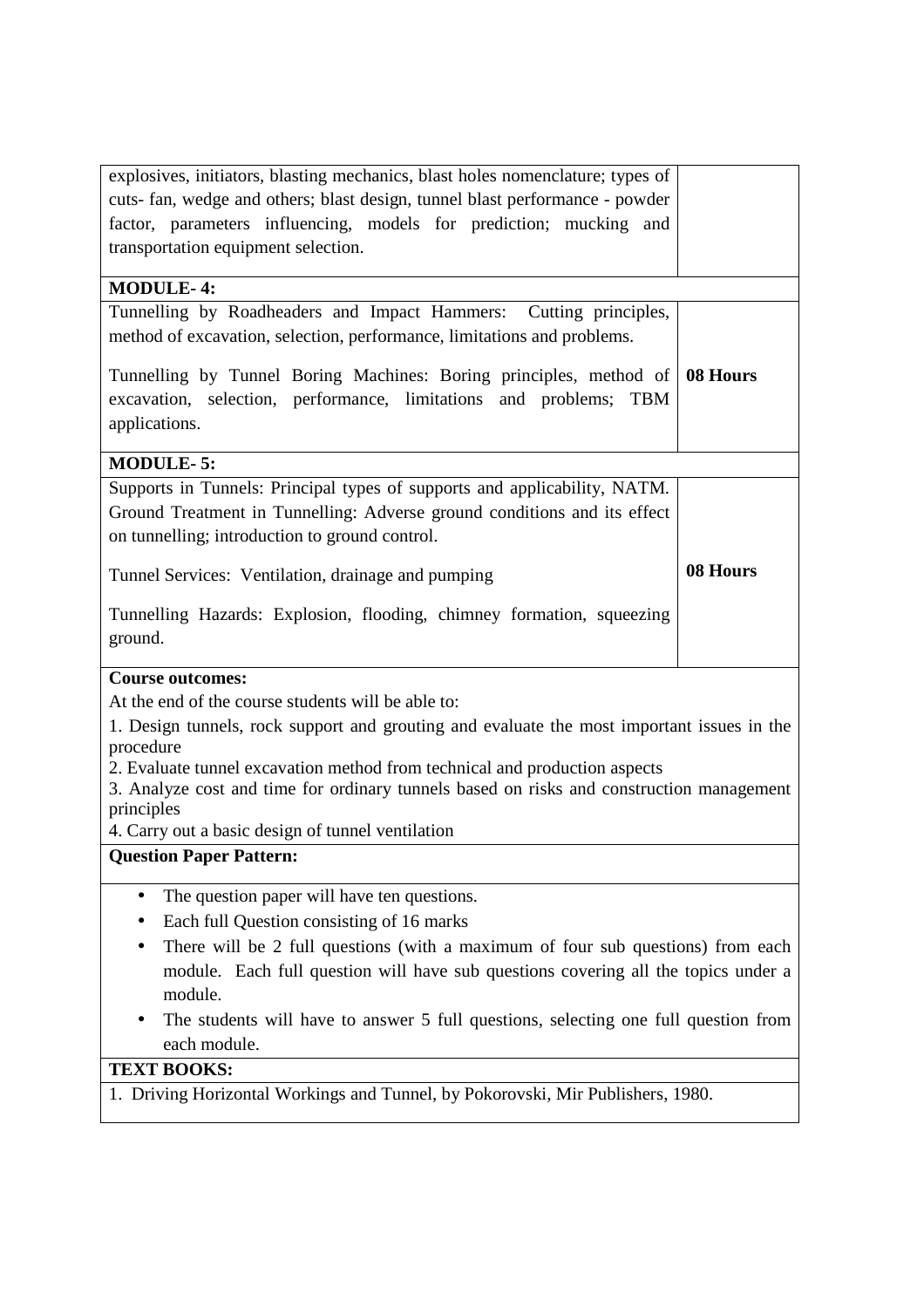| explosives, initiators, blasting mechanics, blast holes nomenclature; types of<br>cuts- fan, wedge and others; blast design, tunnel blast performance - powder<br>factor, parameters influencing, models for prediction; mucking and<br>transportation equipment selection.                                                                                                                                |          |  |
|------------------------------------------------------------------------------------------------------------------------------------------------------------------------------------------------------------------------------------------------------------------------------------------------------------------------------------------------------------------------------------------------------------|----------|--|
| <b>MODULE-4:</b>                                                                                                                                                                                                                                                                                                                                                                                           |          |  |
| Tunnelling by Roadheaders and Impact Hammers: Cutting principles,<br>method of excavation, selection, performance, limitations and problems.                                                                                                                                                                                                                                                               |          |  |
| Tunnelling by Tunnel Boring Machines: Boring principles, method of<br>excavation, selection, performance, limitations and problems;<br><b>TBM</b><br>applications.                                                                                                                                                                                                                                         | 08 Hours |  |
| <b>MODULE-5:</b>                                                                                                                                                                                                                                                                                                                                                                                           |          |  |
| Supports in Tunnels: Principal types of supports and applicability, NATM.<br>Ground Treatment in Tunnelling: Adverse ground conditions and its effect<br>on tunnelling; introduction to ground control.                                                                                                                                                                                                    |          |  |
| Tunnel Services: Ventilation, drainage and pumping                                                                                                                                                                                                                                                                                                                                                         | 08 Hours |  |
| Tunnelling Hazards: Explosion, flooding, chimney formation, squeezing<br>ground.                                                                                                                                                                                                                                                                                                                           |          |  |
| <b>Course outcomes:</b>                                                                                                                                                                                                                                                                                                                                                                                    |          |  |
| At the end of the course students will be able to:<br>1. Design tunnels, rock support and grouting and evaluate the most important issues in the<br>procedure<br>2. Evaluate tunnel excavation method from technical and production aspects<br>3. Analyze cost and time for ordinary tunnels based on risks and construction management<br>principles<br>4. Carry out a basic design of tunnel ventilation |          |  |
| <b>Question Paper Pattern:</b>                                                                                                                                                                                                                                                                                                                                                                             |          |  |
| The question paper will have ten questions.<br>$\bullet$<br>Each full Question consisting of 16 marks<br>There will be 2 full questions (with a maximum of four sub questions) from each<br>module. Each full question will have sub questions covering all the topics under a<br>module.<br>The students will have to answer 5 full questions, selecting one full question from<br>each module.           |          |  |
| <b>TEXT BOOKS:</b>                                                                                                                                                                                                                                                                                                                                                                                         |          |  |
| 1. Driving Horizontal Workings and Tunnel, by Pokorovski, Mir Publishers, 1980.                                                                                                                                                                                                                                                                                                                            |          |  |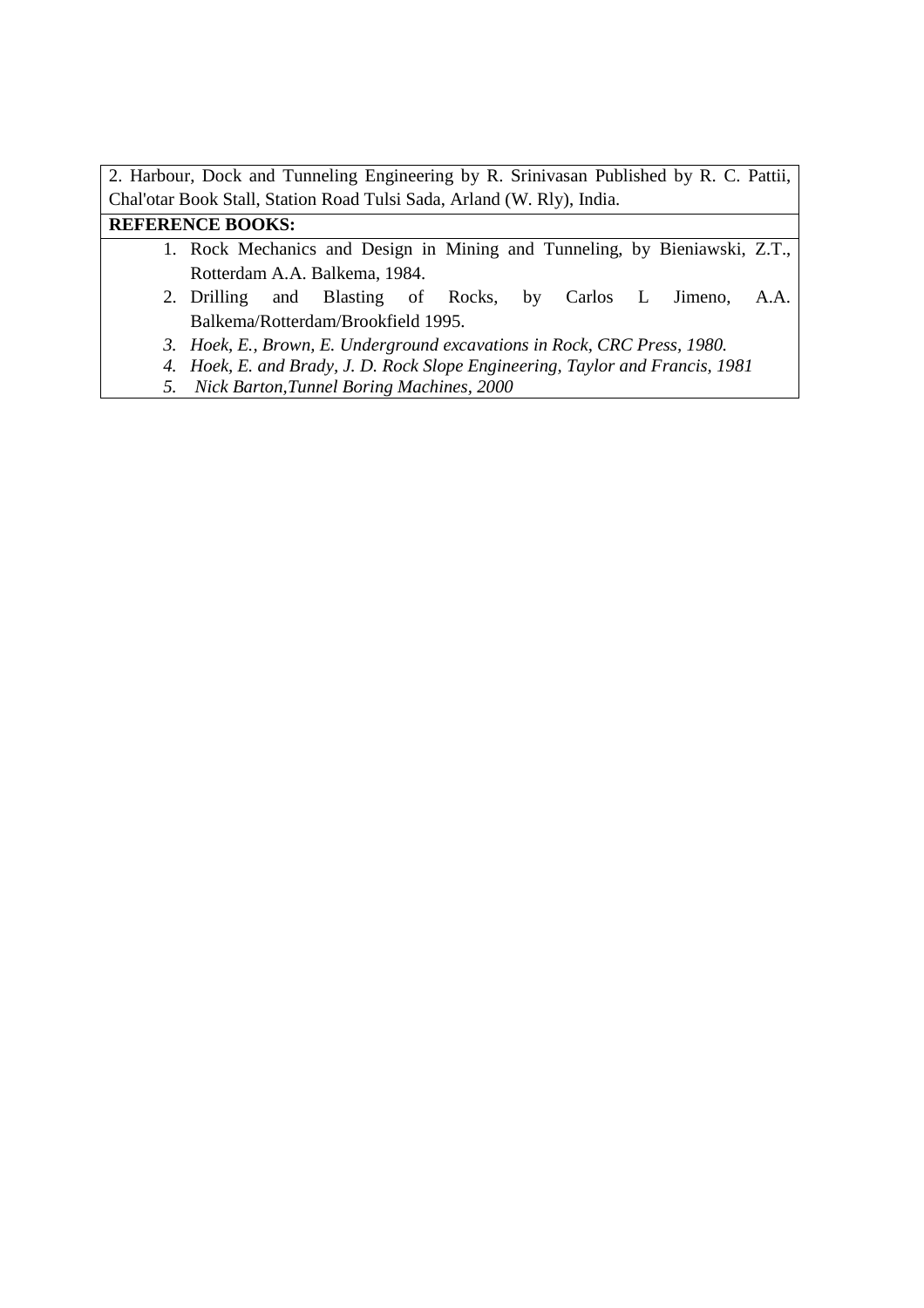| <b>REFERENCE BOOKS:</b>                                                                |
|----------------------------------------------------------------------------------------|
| Chal'otar Book Stall, Station Road Tulsi Sada, Arland (W. Rly), India.                 |
| 2. Harbour, Dock and Tunneling Engineering by R. Srinivasan Published by R. C. Pattii, |

- 1. Rock Mechanics and Design in Mining and Tunneling, by Bieniawski, Z.T., Rotterdam A.A. Balkema, 1984.
- 2. Drilling and Blasting of Rocks, by Carlos L Jimeno, A.A. Balkema/Rotterdam/Brookfield 1995.
- *3. Hoek, E., Brown, E. Underground excavations in Rock, CRC Press, 1980.*
- *4. Hoek, E. and Brady, J. D. Rock Slope Engineering, Taylor and Francis, 1981*
- *5. Nick Barton,Tunnel Boring Machines, 2000*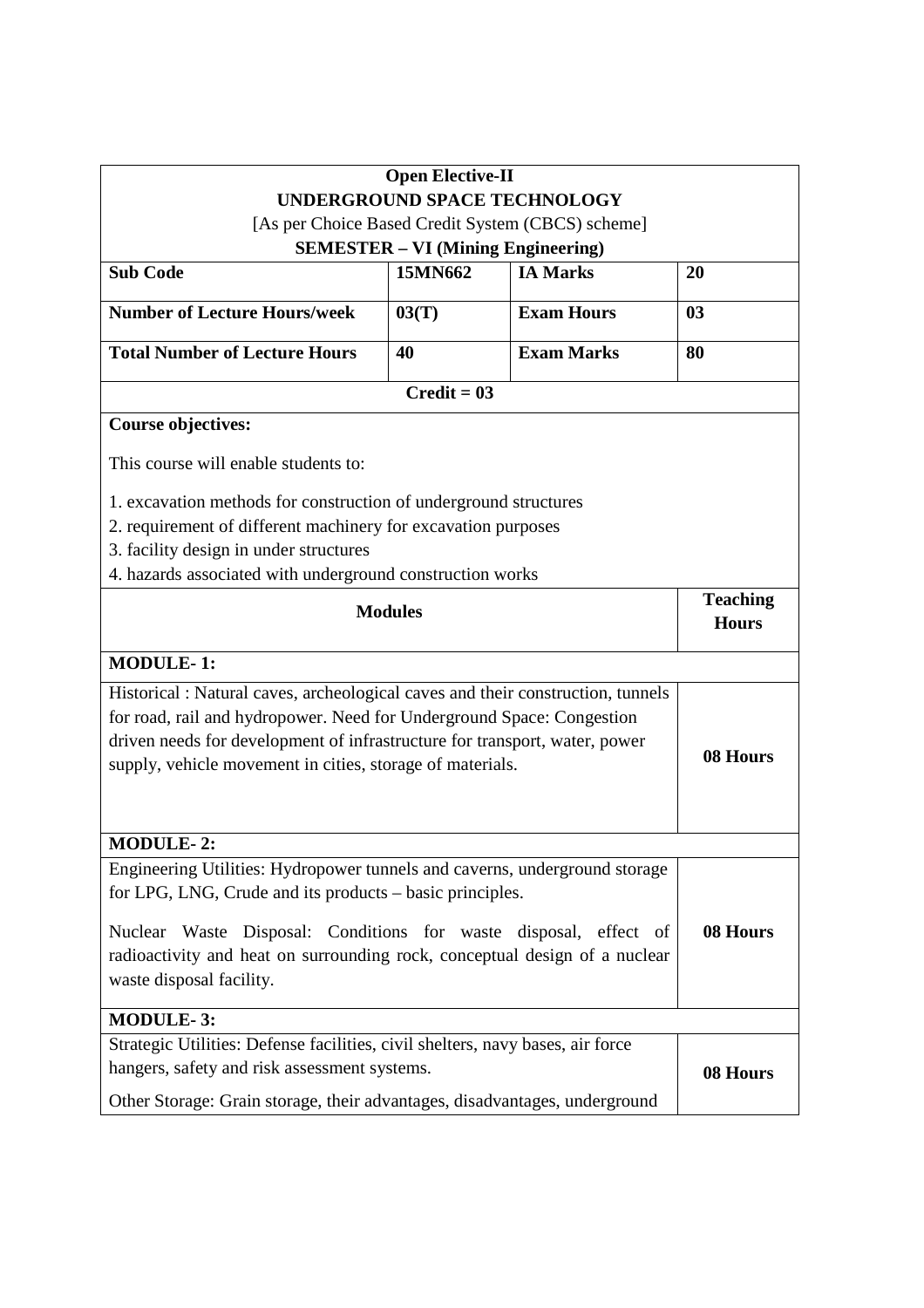|                                                                                 | <b>Open Elective-II</b>                                                       |                                                   |                                 |  |  |
|---------------------------------------------------------------------------------|-------------------------------------------------------------------------------|---------------------------------------------------|---------------------------------|--|--|
|                                                                                 |                                                                               | <b>UNDERGROUND SPACE TECHNOLOGY</b>               |                                 |  |  |
|                                                                                 |                                                                               | [As per Choice Based Credit System (CBCS) scheme] |                                 |  |  |
| <b>Sub Code</b>                                                                 | <b>SEMESTER - VI (Mining Engineering)</b><br><b>IA Marks</b><br>15MN662<br>20 |                                                   |                                 |  |  |
|                                                                                 |                                                                               |                                                   |                                 |  |  |
| <b>Number of Lecture Hours/week</b>                                             | 03(T)                                                                         | <b>Exam Hours</b>                                 | 0 <sub>3</sub>                  |  |  |
| <b>Total Number of Lecture Hours</b>                                            | 40                                                                            | <b>Exam Marks</b>                                 | 80                              |  |  |
|                                                                                 | $Credit = 03$                                                                 |                                                   |                                 |  |  |
| <b>Course objectives:</b>                                                       |                                                                               |                                                   |                                 |  |  |
| This course will enable students to:                                            |                                                                               |                                                   |                                 |  |  |
| 1. excavation methods for construction of underground structures                |                                                                               |                                                   |                                 |  |  |
| 2. requirement of different machinery for excavation purposes                   |                                                                               |                                                   |                                 |  |  |
| 3. facility design in under structures                                          |                                                                               |                                                   |                                 |  |  |
| 4. hazards associated with underground construction works                       |                                                                               |                                                   |                                 |  |  |
| <b>Modules</b>                                                                  |                                                                               |                                                   | <b>Teaching</b><br><b>Hours</b> |  |  |
| <b>MODULE-1:</b>                                                                |                                                                               |                                                   |                                 |  |  |
| Historical : Natural caves, archeological caves and their construction, tunnels |                                                                               |                                                   |                                 |  |  |
| for road, rail and hydropower. Need for Underground Space: Congestion           |                                                                               |                                                   |                                 |  |  |
| driven needs for development of infrastructure for transport, water, power      |                                                                               |                                                   | 08 Hours                        |  |  |
| supply, vehicle movement in cities, storage of materials.                       |                                                                               |                                                   |                                 |  |  |
|                                                                                 |                                                                               |                                                   |                                 |  |  |
|                                                                                 |                                                                               |                                                   |                                 |  |  |
| <b>MODULE-2:</b>                                                                |                                                                               |                                                   |                                 |  |  |
| Engineering Utilities: Hydropower tunnels and caverns, underground storage      |                                                                               |                                                   |                                 |  |  |
| for LPG, LNG, Crude and its products – basic principles.                        |                                                                               |                                                   |                                 |  |  |
| Nuclear Waste Disposal: Conditions for waste disposal, effect of                |                                                                               |                                                   | 08 Hours                        |  |  |
| radioactivity and heat on surrounding rock, conceptual design of a nuclear      |                                                                               |                                                   |                                 |  |  |
| waste disposal facility.                                                        |                                                                               |                                                   |                                 |  |  |
| <b>MODULE-3:</b>                                                                |                                                                               |                                                   |                                 |  |  |
| Strategic Utilities: Defense facilities, civil shelters, navy bases, air force  |                                                                               |                                                   |                                 |  |  |
| hangers, safety and risk assessment systems.                                    |                                                                               |                                                   | 08 Hours                        |  |  |
| Other Storage: Grain storage, their advantages, disadvantages, underground      |                                                                               |                                                   |                                 |  |  |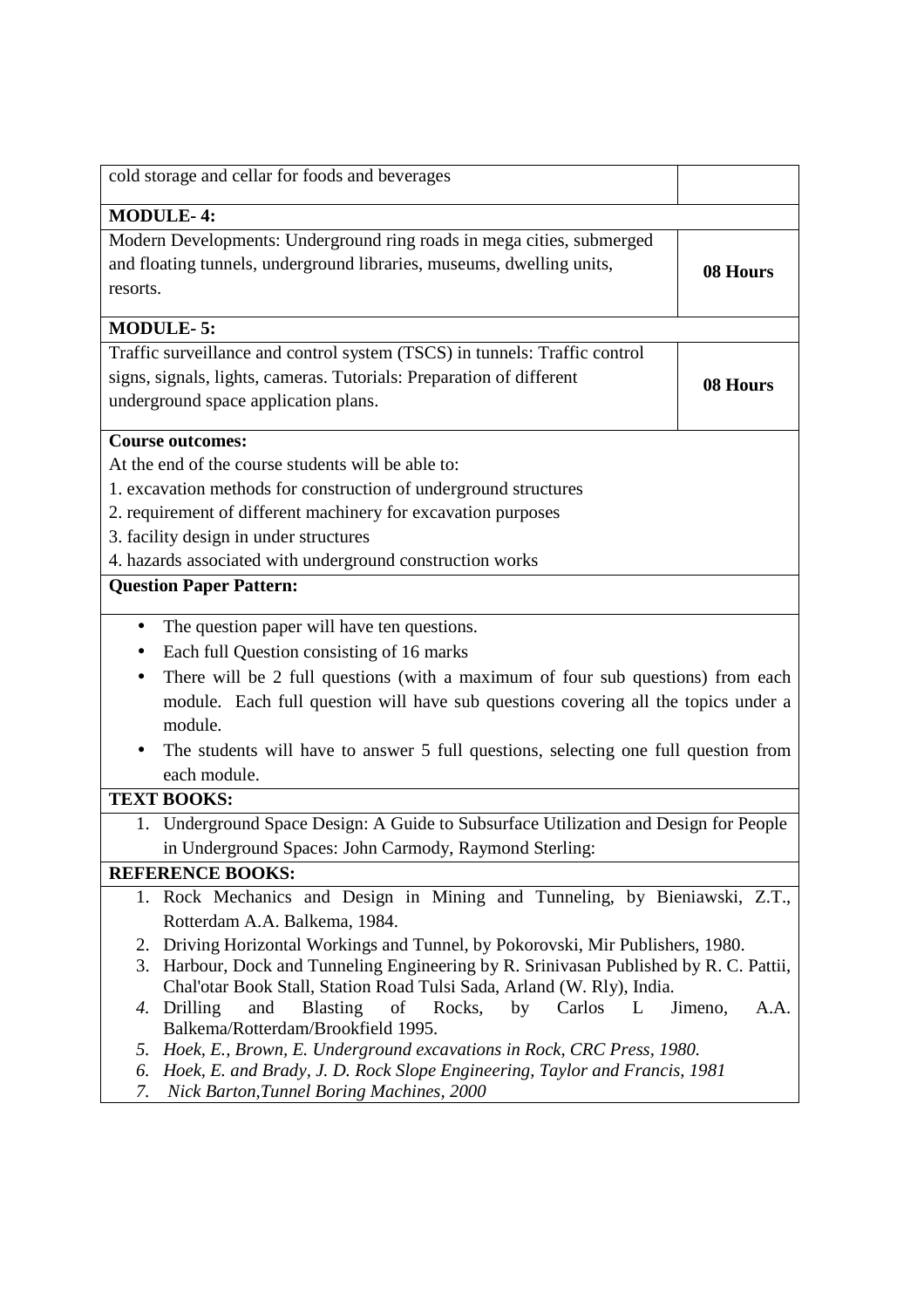| cold storage and cellar for foods and beverages                                                                                                            |                 |  |
|------------------------------------------------------------------------------------------------------------------------------------------------------------|-----------------|--|
| <b>MODULE-4:</b>                                                                                                                                           |                 |  |
| Modern Developments: Underground ring roads in mega cities, submerged<br>and floating tunnels, underground libraries, museums, dwelling units,<br>resorts. | 08 Hours        |  |
| <b>MODULE-5:</b>                                                                                                                                           |                 |  |
| Traffic surveillance and control system (TSCS) in tunnels: Traffic control                                                                                 |                 |  |
| signs, signals, lights, cameras. Tutorials: Preparation of different<br>underground space application plans.                                               | 08 Hours        |  |
| <b>Course outcomes:</b>                                                                                                                                    |                 |  |
| At the end of the course students will be able to:                                                                                                         |                 |  |
| 1. excavation methods for construction of underground structures                                                                                           |                 |  |
| 2. requirement of different machinery for excavation purposes                                                                                              |                 |  |
| 3. facility design in under structures                                                                                                                     |                 |  |
| 4. hazards associated with underground construction works                                                                                                  |                 |  |
| <b>Question Paper Pattern:</b>                                                                                                                             |                 |  |
| The question paper will have ten questions.<br>$\bullet$                                                                                                   |                 |  |
| Each full Question consisting of 16 marks                                                                                                                  |                 |  |
| There will be 2 full questions (with a maximum of four sub questions) from each<br>$\bullet$                                                               |                 |  |
| module. Each full question will have sub questions covering all the topics under a                                                                         |                 |  |
| module.                                                                                                                                                    |                 |  |
| The students will have to answer 5 full questions, selecting one full question from                                                                        |                 |  |
| each module.                                                                                                                                               |                 |  |
| <b>TEXT BOOKS:</b>                                                                                                                                         |                 |  |
| Underground Space Design: A Guide to Subsurface Utilization and Design for People<br>1.                                                                    |                 |  |
| in Underground Spaces: John Carmody, Raymond Sterling:                                                                                                     |                 |  |
| <b>REFERENCE BOOKS:</b>                                                                                                                                    |                 |  |
| 1. Rock Mechanics and Design in Mining and Tunneling, by Bieniawski, Z.T.,                                                                                 |                 |  |
| Rotterdam A.A. Balkema, 1984.                                                                                                                              |                 |  |
| Driving Horizontal Workings and Tunnel, by Pokorovski, Mir Publishers, 1980.<br>2.                                                                         |                 |  |
| Harbour, Dock and Tunneling Engineering by R. Srinivasan Published by R. C. Pattii,<br>3.                                                                  |                 |  |
| Chal'otar Book Stall, Station Road Tulsi Sada, Arland (W. Rly), India.                                                                                     |                 |  |
| Blasting<br>of<br>Drilling<br>and<br>Rocks,<br>by<br>Carlos<br>L<br>4.<br>Balkema/Rotterdam/Brookfield 1995.                                               | Jimeno,<br>A.A. |  |
| Hoek, E., Brown, E. Underground excavations in Rock, CRC Press, 1980.<br>5.                                                                                |                 |  |
| Hoek, E. and Brady, J. D. Rock Slope Engineering, Taylor and Francis, 1981<br>6.                                                                           |                 |  |
| Nick Barton, Tunnel Boring Machines, 2000<br>7.                                                                                                            |                 |  |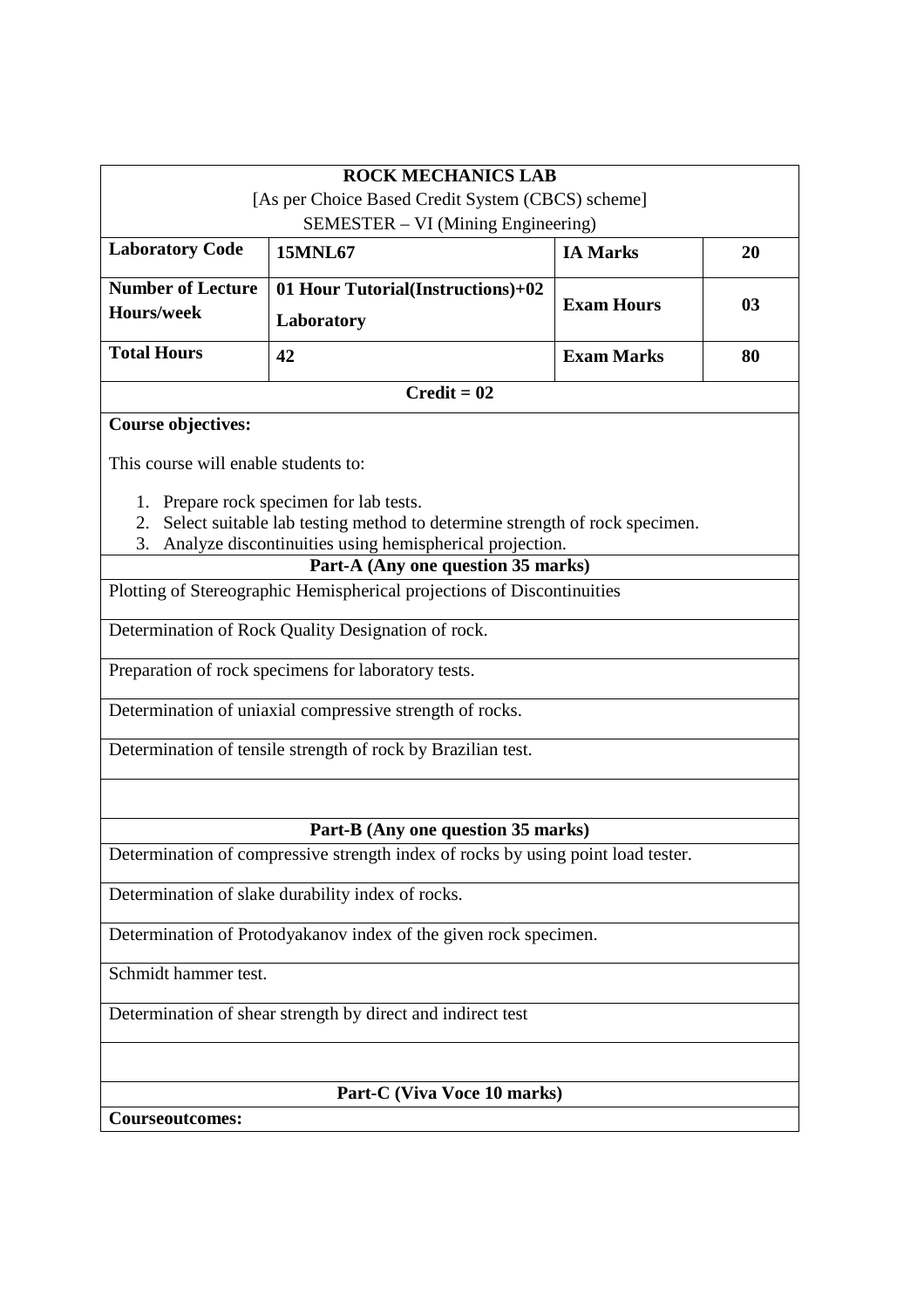|                                      | <b>ROCK MECHANICS LAB</b>                                                                     |                   |    |  |
|--------------------------------------|-----------------------------------------------------------------------------------------------|-------------------|----|--|
|                                      | [As per Choice Based Credit System (CBCS) scheme]<br>SEMESTER – VI (Mining Engineering)       |                   |    |  |
| <b>Laboratory Code</b>               | <b>15MNL67</b>                                                                                | <b>IA Marks</b>   | 20 |  |
| <b>Number of Lecture</b>             | 01 Hour Tutorial(Instructions)+02                                                             |                   |    |  |
| Hours/week                           | Laboratory                                                                                    | <b>Exam Hours</b> | 03 |  |
| <b>Total Hours</b>                   | 42                                                                                            | <b>Exam Marks</b> | 80 |  |
|                                      | $Credit = 02$                                                                                 |                   |    |  |
| <b>Course objectives:</b>            |                                                                                               |                   |    |  |
| This course will enable students to: |                                                                                               |                   |    |  |
| 1.                                   | Prepare rock specimen for lab tests.                                                          |                   |    |  |
| 2.                                   | Select suitable lab testing method to determine strength of rock specimen.                    |                   |    |  |
| 3.                                   | Analyze discontinuities using hemispherical projection.<br>Part-A (Any one question 35 marks) |                   |    |  |
|                                      | Plotting of Stereographic Hemispherical projections of Discontinuities                        |                   |    |  |
|                                      |                                                                                               |                   |    |  |
|                                      | Determination of Rock Quality Designation of rock.                                            |                   |    |  |
|                                      | Preparation of rock specimens for laboratory tests.                                           |                   |    |  |
|                                      | Determination of uniaxial compressive strength of rocks.                                      |                   |    |  |
|                                      | Determination of tensile strength of rock by Brazilian test.                                  |                   |    |  |
|                                      | Part-B (Any one question 35 marks)                                                            |                   |    |  |
|                                      | Determination of compressive strength index of rocks by using point load tester.              |                   |    |  |
|                                      |                                                                                               |                   |    |  |
|                                      | Determination of slake durability index of rocks.                                             |                   |    |  |
|                                      | Determination of Protodyakanov index of the given rock specimen.                              |                   |    |  |
| Schmidt hammer test.                 |                                                                                               |                   |    |  |
|                                      | Determination of shear strength by direct and indirect test                                   |                   |    |  |
| Part-C (Viva Voce 10 marks)          |                                                                                               |                   |    |  |
| Courseoutcomes:                      |                                                                                               |                   |    |  |
|                                      |                                                                                               |                   |    |  |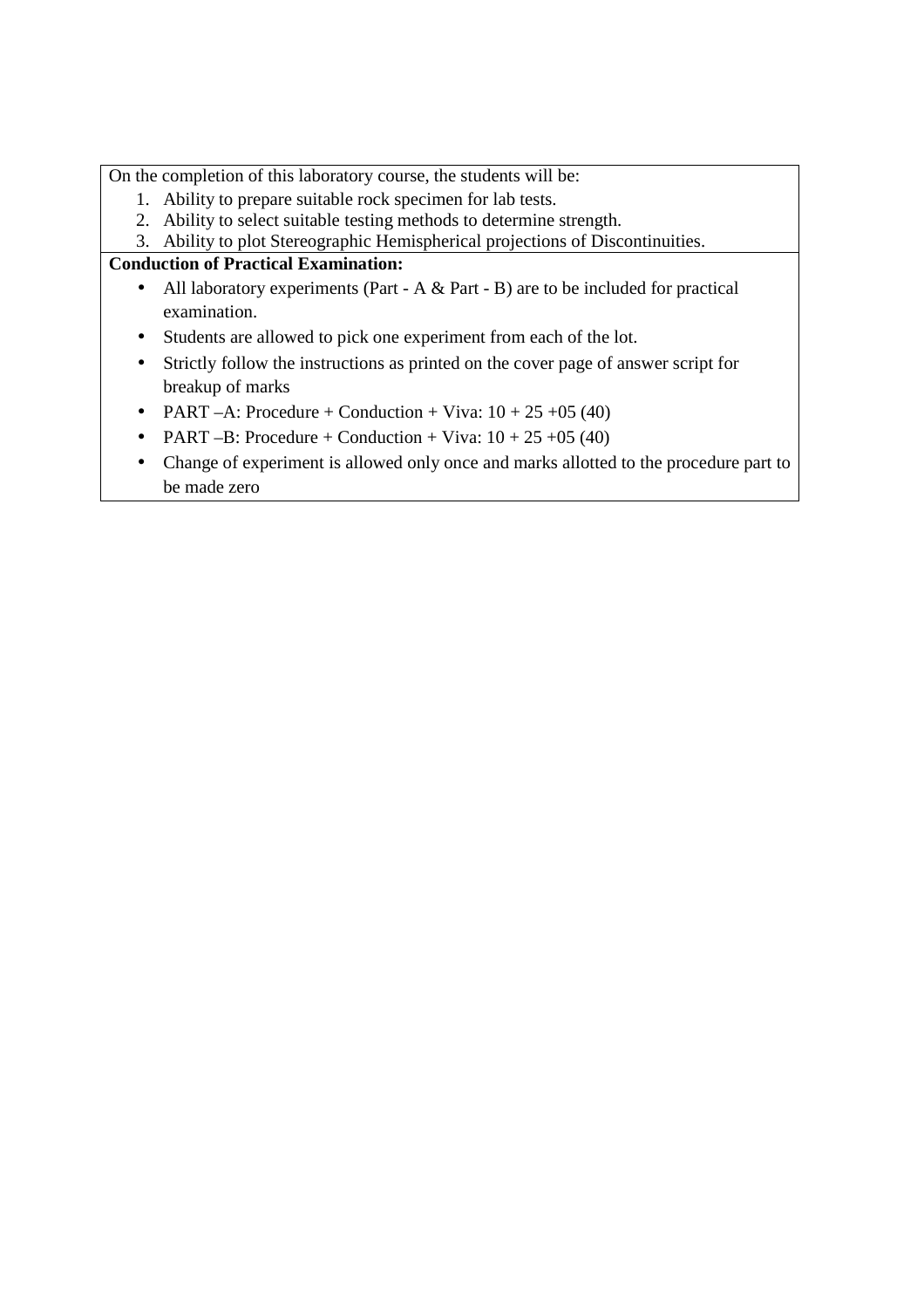On the completion of this laboratory course, the students will be:

- 1. Ability to prepare suitable rock specimen for lab tests.
- 2. Ability to select suitable testing methods to determine strength.
- 3. Ability to plot Stereographic Hemispherical projections of Discontinuities.

# **Conduction of Practical Examination:**

- All laboratory experiments (Part A & Part B) are to be included for practical examination.
- Students are allowed to pick one experiment from each of the lot.
- Strictly follow the instructions as printed on the cover page of answer script for breakup of marks
- PART –A: Procedure + Conduction + Viva:  $10 + 25 + 05$  (40)
- PART –B: Procedure + Conduction + Viva:  $10 + 25 + 05$  (40)
- Change of experiment is allowed only once and marks allotted to the procedure part to be made zero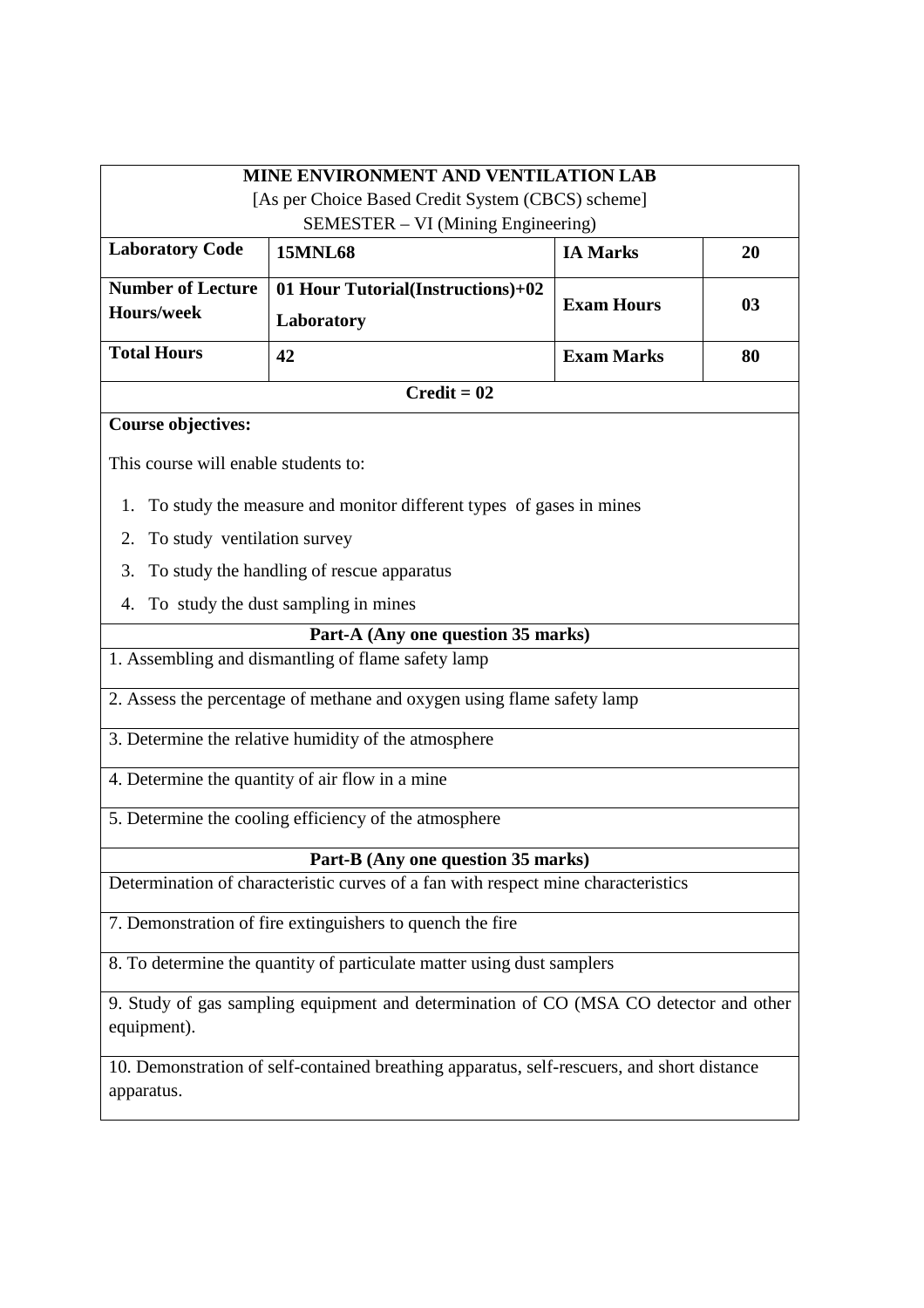| <b>MINE ENVIRONMENT AND VENTILATION LAB</b><br>[As per Choice Based Credit System (CBCS) scheme]<br>SEMESTER – VI (Mining Engineering) |                                                                                   |                   |                |
|----------------------------------------------------------------------------------------------------------------------------------------|-----------------------------------------------------------------------------------|-------------------|----------------|
| <b>Laboratory Code</b>                                                                                                                 | <b>15MNL68</b>                                                                    | <b>IA Marks</b>   | 20             |
| <b>Number of Lecture</b>                                                                                                               | 01 Hour Tutorial(Instructions)+02                                                 |                   |                |
| <b>Hours/week</b>                                                                                                                      | Laboratory                                                                        | <b>Exam Hours</b> | 0 <sub>3</sub> |
| <b>Total Hours</b>                                                                                                                     | 42                                                                                | <b>Exam Marks</b> | 80             |
|                                                                                                                                        | $Credit = 02$                                                                     |                   |                |
| <b>Course objectives:</b>                                                                                                              |                                                                                   |                   |                |
| This course will enable students to:                                                                                                   |                                                                                   |                   |                |
| 1.                                                                                                                                     | To study the measure and monitor different types of gases in mines                |                   |                |
| To study ventilation survey<br>2.                                                                                                      |                                                                                   |                   |                |
| 3.                                                                                                                                     | To study the handling of rescue apparatus                                         |                   |                |
| 4.                                                                                                                                     | To study the dust sampling in mines                                               |                   |                |
|                                                                                                                                        | Part-A (Any one question 35 marks)                                                |                   |                |
| 1. Assembling and dismantling of flame safety lamp                                                                                     |                                                                                   |                   |                |
| 2. Assess the percentage of methane and oxygen using flame safety lamp                                                                 |                                                                                   |                   |                |
|                                                                                                                                        | 3. Determine the relative humidity of the atmosphere                              |                   |                |
|                                                                                                                                        | 4. Determine the quantity of air flow in a mine                                   |                   |                |
|                                                                                                                                        | 5. Determine the cooling efficiency of the atmosphere                             |                   |                |
| Part-B (Any one question 35 marks)                                                                                                     |                                                                                   |                   |                |
|                                                                                                                                        | Determination of characteristic curves of a fan with respect mine characteristics |                   |                |
| 7. Demonstration of fire extinguishers to quench the fire                                                                              |                                                                                   |                   |                |
| 8. To determine the quantity of particulate matter using dust samplers                                                                 |                                                                                   |                   |                |
| 9. Study of gas sampling equipment and determination of CO (MSA CO detector and other<br>equipment).                                   |                                                                                   |                   |                |
| 10. Demonstration of self-contained breathing apparatus, self-rescuers, and short distance<br>apparatus.                               |                                                                                   |                   |                |